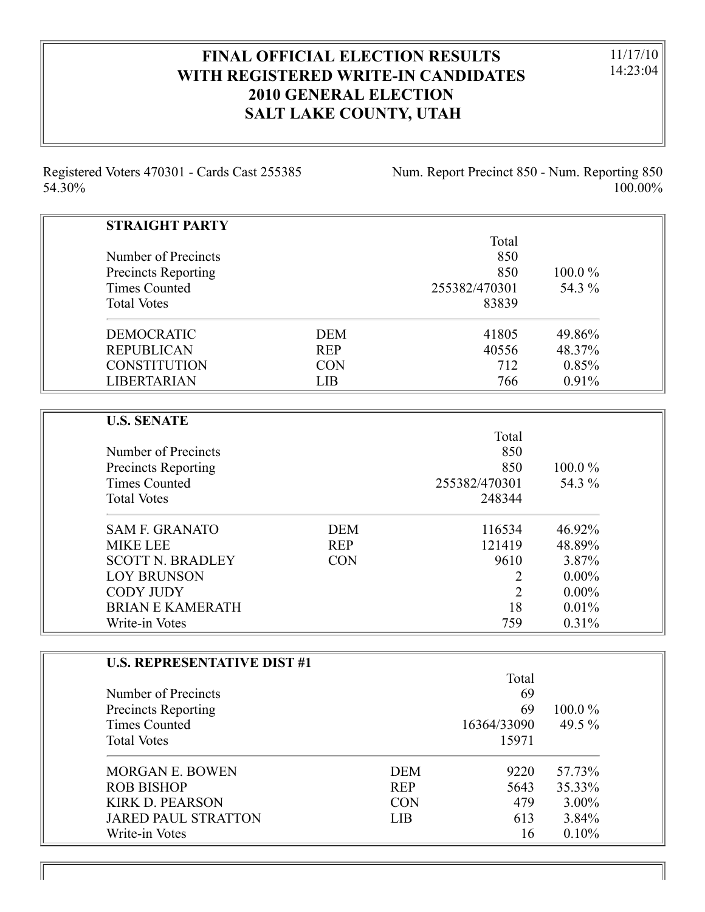# **FINAL OFFICIAL ELECTION RESULTS WITH REGISTERED WRITE-IN CANDIDATES 2010 GENERAL ELECTION SALT LAKE COUNTY, UTAH**

11/17/10 14:23:04

Registered Voters 470301 - Cards Cast 255385 54.30%

Num. Report Precinct 850 - Num. Reporting 850 100.00%

| <b>STRAIGHT PARTY</b> |            |               |           |
|-----------------------|------------|---------------|-----------|
|                       |            | Total         |           |
| Number of Precincts   |            | 850           |           |
| Precincts Reporting   |            | 850           | $100.0\%$ |
| Times Counted         |            | 255382/470301 | 54.3 %    |
| <b>Total Votes</b>    |            | 83839         |           |
| <b>DEMOCRATIC</b>     | <b>DEM</b> | 41805         | 49.86%    |
| <b>REPUBLICAN</b>     | <b>REP</b> | 40556         | 48.37%    |
| <b>CONSTITUTION</b>   | <b>CON</b> | 712           | 0.85%     |
| <b>LIBERTARIAN</b>    | LIB        | 766           | $0.91\%$  |

| <b>U.S. SENATE</b>         |            |               |           |
|----------------------------|------------|---------------|-----------|
|                            |            | Total         |           |
| Number of Precincts        |            | 850           |           |
| <b>Precincts Reporting</b> |            | 850           | $100.0\%$ |
| Times Counted              |            | 255382/470301 | 54.3 %    |
| <b>Total Votes</b>         |            | 248344        |           |
| <b>SAM F. GRANATO</b>      | <b>DEM</b> | 116534        | 46.92%    |
| <b>MIKE LEE</b>            | <b>REP</b> | 121419        | 48.89%    |
| <b>SCOTT N. BRADLEY</b>    | <b>CON</b> | 9610          | 3.87%     |
| <b>LOY BRUNSON</b>         |            | 2             | $0.00\%$  |
| <b>CODY JUDY</b>           |            | 2             | $0.00\%$  |
| BRIAN E KAMERATH           |            | 18            | 0.01%     |
| Write-in Votes             |            | 759           | 0.31%     |

| <b>U.S. REPRESENTATIVE DIST #1</b> |            |             |           |
|------------------------------------|------------|-------------|-----------|
|                                    |            | Total       |           |
| Number of Precincts                |            | 69          |           |
| <b>Precincts Reporting</b>         |            | 69          | $100.0\%$ |
| Times Counted                      |            | 16364/33090 | 49.5 $\%$ |
| <b>Total Votes</b>                 |            | 15971       |           |
| <b>MORGAN E. BOWEN</b>             | <b>DEM</b> | 9220        | 57.73%    |
| <b>ROB BISHOP</b>                  | <b>REP</b> | 5643        | 35.33%    |
| <b>KIRK D. PEARSON</b>             | <b>CON</b> | 479         | $3.00\%$  |
| <b>JARED PAUL STRATTON</b>         | <b>LIB</b> | 613         | 3.84%     |
| Write-in Votes                     |            | 16          | 0.10%     |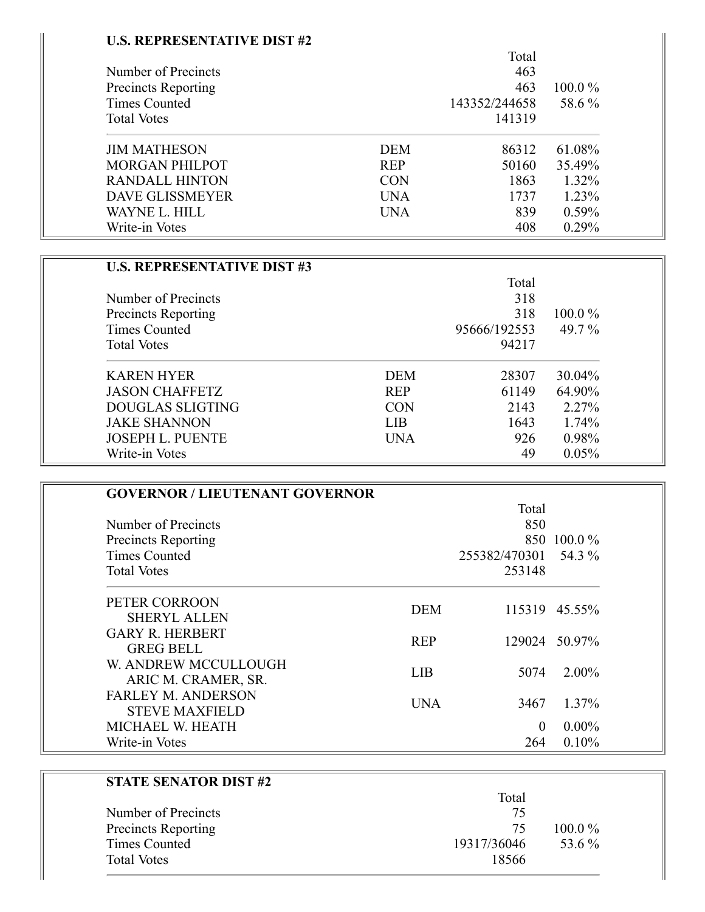### **U.S. REPRESENTATIVE DIST #2**

÷

|                            |            | Total         |           |
|----------------------------|------------|---------------|-----------|
| Number of Precincts        |            | 463           |           |
| <b>Precincts Reporting</b> |            | 463           | $100.0\%$ |
| Times Counted              |            | 143352/244658 | 58.6 %    |
| <b>Total Votes</b>         |            | 141319        |           |
| <b>JIM MATHESON</b>        | <b>DEM</b> | 86312         | 61.08%    |
| <b>MORGAN PHILPOT</b>      | <b>REP</b> | 50160         | 35.49%    |
| <b>RANDALL HINTON</b>      | <b>CON</b> | 1863          | 1.32%     |
| <b>DAVE GLISSMEYER</b>     | <b>UNA</b> | 1737          | 1.23%     |
| WAYNE L. HILL              | <b>UNA</b> | 839           | 0.59%     |
| Write-in Votes             |            | 408           | 0.29%     |

| <b>U.S. REPRESENTATIVE DIST #3</b> |            |              |           |
|------------------------------------|------------|--------------|-----------|
|                                    |            | Total        |           |
| Number of Precincts                |            | 318          |           |
| <b>Precincts Reporting</b>         |            | 318          | $100.0\%$ |
| Times Counted                      |            | 95666/192553 | 49.7 %    |
| <b>Total Votes</b>                 |            | 94217        |           |
| <b>KAREN HYER</b>                  | <b>DEM</b> | 28307        | 30.04%    |
| <b>JASON CHAFFETZ</b>              | <b>REP</b> | 61149        | 64.90%    |
| <b>DOUGLAS SLIGTING</b>            | <b>CON</b> | 2143         | 2.27%     |
| <b>JAKE SHANNON</b>                | LIB.       | 1643         | 1.74%     |
| <b>JOSEPH L. PUENTE</b>            | <b>UNA</b> | 926          | 0.98%     |
| Write-in Votes                     |            | 49           | 0.05%     |

| <b>GOVERNOR / LIEUTENANT GOVERNOR</b>              |            |                      |               |
|----------------------------------------------------|------------|----------------------|---------------|
|                                                    |            | Total                |               |
| Number of Precincts                                |            | 850                  |               |
| <b>Precincts Reporting</b>                         |            |                      | 850 100.0 %   |
| Times Counted                                      |            | 255382/470301 54.3 % |               |
| <b>Total Votes</b>                                 |            | 253148               |               |
| PETER CORROON<br><b>SHERYL ALLEN</b>               | <b>DEM</b> |                      | 115319 45.55% |
| <b>GARY R. HERBERT</b><br><b>GREG BELL</b>         | <b>REP</b> |                      | 129024 50.97% |
| W. ANDREW MCCULLOUGH<br>ARIC M. CRAMER, SR.        | <b>LIB</b> | 5074                 | $2.00\%$      |
| <b>FARLEY M. ANDERSON</b><br><b>STEVE MAXFIELD</b> | <b>UNA</b> | 3467                 | 1.37%         |
| MICHAEL W. HEATH                                   |            | $\Omega$             | $0.00\%$      |
| Write-in Votes                                     |            | 264                  | 0.10%         |

|                            | Total       |           |
|----------------------------|-------------|-----------|
| Number of Precincts        | 75          |           |
| <b>Precincts Reporting</b> | 75          | $100.0\%$ |
| <b>Times Counted</b>       | 19317/36046 | 53.6 %    |
| <b>Total Votes</b>         | 18566       |           |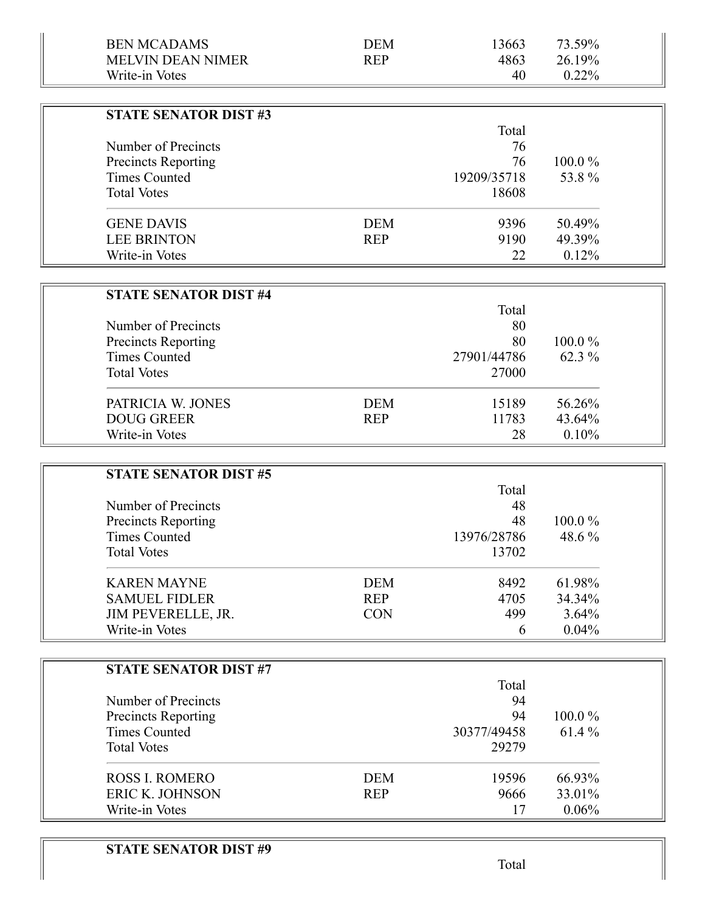| <b>BEN MCADAMS</b>                                 | <b>DEM</b> | 13663       | 73.59% |  |
|----------------------------------------------------|------------|-------------|--------|--|
| <b>MELVIN DEAN NIMER</b>                           | <b>REP</b> | 4863        | 26.19% |  |
| Write-in Votes                                     |            | 40          | 0.22%  |  |
|                                                    |            |             |        |  |
| <b>STATE SENATOR DIST #3</b>                       |            |             |        |  |
|                                                    |            | Total       |        |  |
| Number of Precincts                                |            | 76          |        |  |
| Precincts Reporting                                |            | 76          | 100.0% |  |
| <b>Times Counted</b>                               |            | 19209/35718 | 53.8%  |  |
| <b>Total Votes</b>                                 |            | 18608       |        |  |
| <b>GENE DAVIS</b>                                  | <b>DEM</b> | 9396        | 50.49% |  |
| <b>LEE BRINTON</b>                                 | <b>REP</b> | 9190        | 49.39% |  |
| Write-in Votes                                     |            | 22          | 0.12%  |  |
|                                                    |            |             |        |  |
| <b>STATE SENATOR DIST #4</b>                       |            |             |        |  |
|                                                    |            | Total       |        |  |
| Number of Precincts                                |            | 80          |        |  |
| <b>Precincts Reporting</b>                         |            | 80          | 100.0% |  |
| <b>Times Counted</b>                               |            | 27901/44786 | 62.3 % |  |
| <b>Total Votes</b>                                 |            | 27000       |        |  |
|                                                    |            |             |        |  |
| PATRICIA W. JONES                                  | <b>DEM</b> | 15189       | 56.26% |  |
| <b>DOUG GREER</b>                                  | <b>REP</b> | 11783       | 43.64% |  |
| Write-in Votes                                     |            | 28          | 0.10%  |  |
|                                                    |            |             |        |  |
| <b>STATE SENATOR DIST #5</b>                       |            |             |        |  |
|                                                    |            | Total       |        |  |
| Number of Precincts                                |            | 48<br>48    | 100.0% |  |
| <b>Precincts Reporting</b><br><b>Times Counted</b> |            | 13976/28786 | 48.6 % |  |
| <b>Total Votes</b>                                 |            | 13702       |        |  |
|                                                    |            |             |        |  |
| <b>KAREN MAYNE</b>                                 | <b>DEM</b> | 8492        | 61.98% |  |
| <b>SAMUEL FIDLER</b>                               | <b>REP</b> | 4705        | 34.34% |  |
| JIM PEVERELLE, JR.                                 | <b>CON</b> | 499         | 3.64%  |  |
| Write-in Votes                                     |            | 6           | 0.04%  |  |
|                                                    |            |             |        |  |
| <b>STATE SENATOR DIST #7</b>                       |            |             |        |  |
|                                                    |            | Total       |        |  |
| Number of Precincts                                |            | 94          |        |  |
| <b>Precincts Reporting</b>                         |            | 94          | 100.0% |  |
| <b>Times Counted</b>                               |            | 30377/49458 | 61.4 % |  |
| <b>Total Votes</b>                                 |            | 29279       |        |  |

ROSS I. ROMERO DEM 19596 66.93%<br>ERIC K. JOHNSON REP 9666 33.01% ERIC K. JOHNSON REP 9666 33.01%<br>Write-in Votes 17 0.06% Write-in Votes 17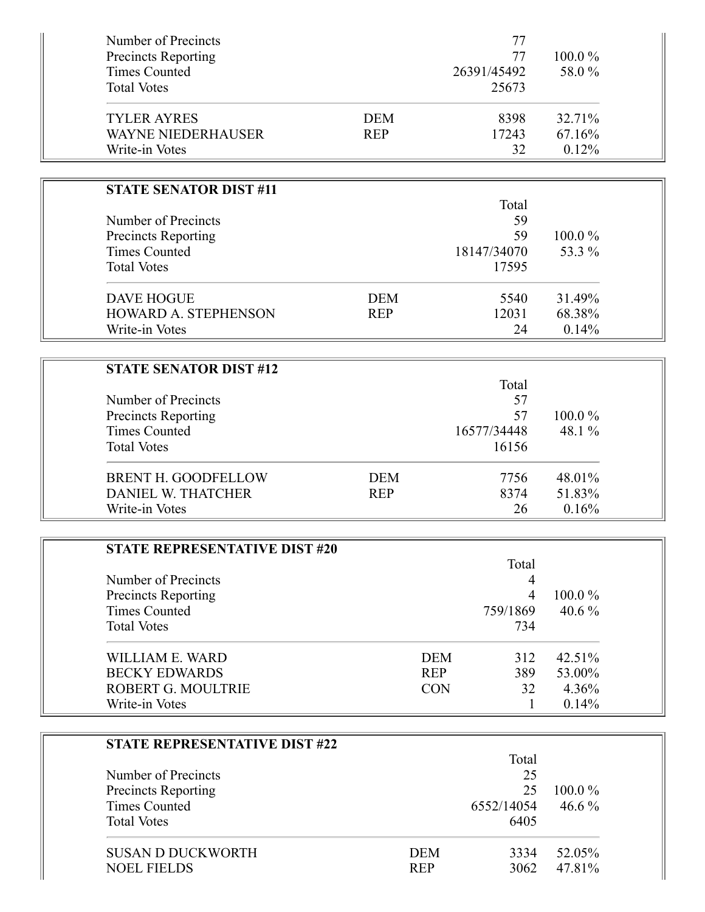| Number of Precincts                  |            |            | 77             |        |  |
|--------------------------------------|------------|------------|----------------|--------|--|
| <b>Precincts Reporting</b>           |            |            | 77             | 100.0% |  |
| <b>Times Counted</b>                 |            |            | 26391/45492    | 58.0%  |  |
| <b>Total Votes</b>                   |            |            | 25673          |        |  |
| <b>TYLER AYRES</b>                   | <b>DEM</b> |            | 8398           | 32.71% |  |
| <b>WAYNE NIEDERHAUSER</b>            | <b>REP</b> |            | 17243          | 67.16% |  |
| Write-in Votes                       |            |            | 32             | 0.12%  |  |
|                                      |            |            |                |        |  |
| <b>STATE SENATOR DIST #11</b>        |            |            |                |        |  |
|                                      |            |            | Total          |        |  |
| Number of Precincts                  |            |            | 59             |        |  |
| <b>Precincts Reporting</b>           |            |            | 59             | 100.0% |  |
| <b>Times Counted</b>                 |            |            | 18147/34070    | 53.3 % |  |
| <b>Total Votes</b>                   |            |            | 17595          |        |  |
|                                      |            |            |                |        |  |
| <b>DAVE HOGUE</b>                    | <b>DEM</b> |            | 5540           | 31.49% |  |
| HOWARD A. STEPHENSON                 | <b>REP</b> |            | 12031          | 68.38% |  |
| Write-in Votes                       |            |            | 24             | 0.14%  |  |
|                                      |            |            |                |        |  |
| <b>STATE SENATOR DIST #12</b>        |            |            | Total          |        |  |
| Number of Precincts                  |            |            | 57             |        |  |
| Precincts Reporting                  |            |            | 57             | 100.0% |  |
| <b>Times Counted</b>                 |            |            | 16577/34448    | 48.1%  |  |
| <b>Total Votes</b>                   |            |            | 16156          |        |  |
|                                      |            |            |                |        |  |
| BRENT H. GOODFELLOW                  | <b>DEM</b> |            | 7756           | 48.01% |  |
| <b>DANIEL W. THATCHER</b>            | <b>REP</b> |            | 8374           | 51.83% |  |
| Write-in Votes                       |            |            | 26             | 0.16%  |  |
|                                      |            |            |                |        |  |
| <b>STATE REPRESENTATIVE DIST #20</b> |            |            |                |        |  |
|                                      |            |            | Total          |        |  |
| Number of Precincts                  |            |            | 4              |        |  |
| Precincts Reporting                  |            |            | $\overline{4}$ | 100.0% |  |
| <b>Times Counted</b>                 |            |            | 759/1869       | 40.6%  |  |
| <b>Total Votes</b>                   |            |            | 734            |        |  |
| <b>WILLIAM E. WARD</b>               |            | <b>DEM</b> | 312            | 42.51% |  |
| <b>BECKY EDWARDS</b>                 |            | <b>REP</b> | 389            | 53.00% |  |
| ROBERT G. MOULTRIE                   |            | <b>CON</b> | 32             | 4.36%  |  |
| Write-in Votes                       |            |            | 1              | 0.14%  |  |
|                                      |            |            |                |        |  |
| <b>STATE REPRESENTATIVE DIST #22</b> |            |            |                |        |  |
|                                      |            |            | Total          |        |  |
| Number of Precincts                  |            |            | 25             |        |  |
| <b>Precincts Reporting</b>           |            |            | 25             | 100.0% |  |
| <b>Times Counted</b>                 |            |            | 6552/14054     | 46.6%  |  |
| <b>Total Votes</b>                   |            |            | 6405           |        |  |
| <b>SUSAN D DUCKWORTH</b>             |            | <b>DEM</b> | 3334           | 52.05% |  |
| <b>NOEL FIELDS</b>                   |            | <b>REP</b> | 3062           | 47.81% |  |
|                                      |            |            |                |        |  |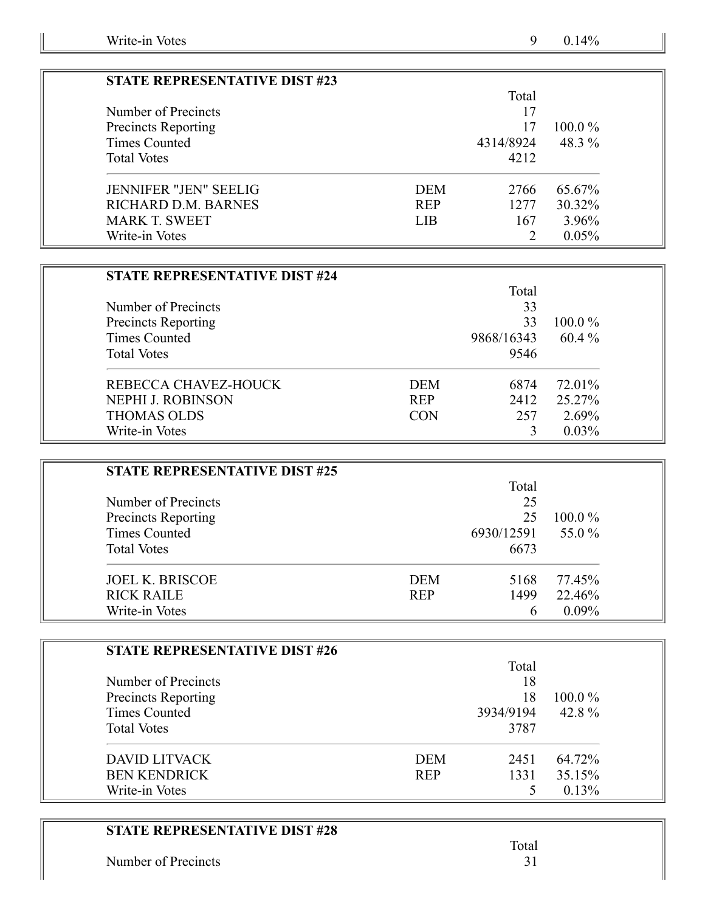| <b>STATE REPRESENTATIVE DIST #23</b> |            |           |           |
|--------------------------------------|------------|-----------|-----------|
|                                      |            | Total     |           |
| Number of Precincts                  |            | 17        |           |
| <b>Precincts Reporting</b>           |            | 17        | $100.0\%$ |
| Times Counted                        |            | 4314/8924 | 48.3 %    |
| <b>Total Votes</b>                   |            | 4212      |           |
| <b>JENNIFER "JEN" SEELIG</b>         | <b>DEM</b> | 2766      | 65.67%    |
| RICHARD D.M. BARNES                  | <b>REP</b> | 1277      | 30.32%    |
| <b>MARK T. SWEET</b>                 | <b>LIB</b> | 167       | 3.96%     |
| Write-in Votes                       |            |           | 0.05%     |

| <b>STATE REPRESENTATIVE DIST #24</b> |            |            |           |
|--------------------------------------|------------|------------|-----------|
|                                      |            | Total      |           |
| Number of Precincts                  |            | 33         |           |
| Precincts Reporting                  |            | 33         | $100.0\%$ |
| Times Counted                        |            | 9868/16343 | $60.4\%$  |
| <b>Total Votes</b>                   |            | 9546       |           |
| REBECCA CHAVEZ-HOUCK                 | <b>DEM</b> | 6874       | 72.01%    |
| <b>NEPHI J. ROBINSON</b>             | <b>REP</b> | 2412       | 25.27%    |
| <b>THOMAS OLDS</b>                   | <b>CON</b> | 257        | 2.69%     |
| Write-in Votes                       |            |            | $0.03\%$  |

| <b>STATE REPRESENTATIVE DIST #25</b> |            |            |           |
|--------------------------------------|------------|------------|-----------|
|                                      |            | Total      |           |
| Number of Precincts                  |            | 25         |           |
| <b>Precincts Reporting</b>           |            | 25         | $100.0\%$ |
| Times Counted                        |            | 6930/12591 | 55.0 %    |
| <b>Total Votes</b>                   |            | 6673       |           |
| <b>JOEL K. BRISCOE</b>               | <b>DEM</b> | 5168       | 77.45%    |
| <b>RICK RAILE</b>                    | <b>REP</b> | 1499       | 22.46%    |
| Write-in Votes                       |            | h          | $0.09\%$  |

| <b>STATE REPRESENTATIVE DIST #26</b> |            |           |           |
|--------------------------------------|------------|-----------|-----------|
|                                      |            | Total     |           |
| Number of Precincts                  |            | 18        |           |
| <b>Precincts Reporting</b>           |            | 18        | $100.0\%$ |
| Times Counted                        |            | 3934/9194 | 42.8%     |
| <b>Total Votes</b>                   |            | 3787      |           |
| <b>DAVID LITVACK</b>                 | <b>DEM</b> | 2451      | 64.72%    |
| <b>BEN KENDRICK</b>                  | <b>REP</b> | 1331      | 35.15%    |
| Write-in Votes                       |            |           | 0.13%     |

Number of Precincts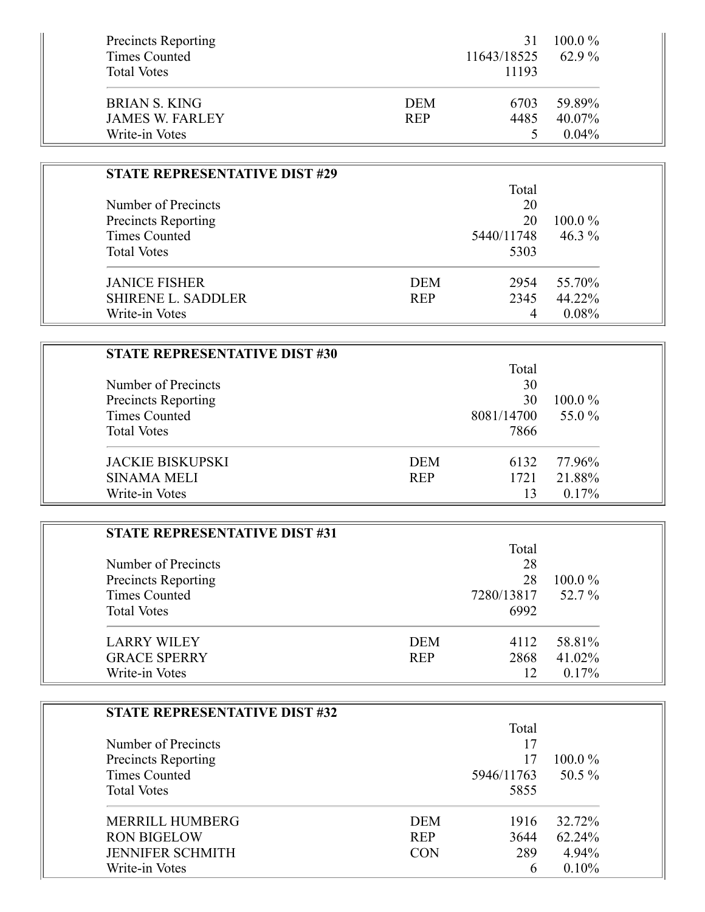| <b>Precincts Reporting</b> |            |             | $100.0\%$ |
|----------------------------|------------|-------------|-----------|
| Times Counted              |            | 11643/18525 | $62.9\%$  |
| <b>Total Votes</b>         |            | 11193       |           |
| <b>BRIAN S. KING</b>       | <b>DEM</b> | 6703        | 59.89%    |
| <b>JAMES W. FARLEY</b>     | <b>REP</b> | 4485        | 40.07%    |
| Write-in Votes             |            |             | $0.04\%$  |

| <b>STATE REPRESENTATIVE DIST #29</b> |            |            |           |
|--------------------------------------|------------|------------|-----------|
|                                      |            | Total      |           |
| Number of Precincts                  |            | 20         |           |
| Precincts Reporting                  |            | 20         | $100.0\%$ |
| <b>Times Counted</b>                 |            | 5440/11748 | 46.3 $%$  |
| <b>Total Votes</b>                   |            | 5303       |           |
| <b>JANICE FISHER</b>                 | <b>DEM</b> | 2954       | 55.70%    |
| <b>SHIRENE L. SADDLER</b>            | <b>REP</b> | 2345       | 44.22%    |
| Write-in Votes                       |            | 4          | 0.08%     |

| <b>STATE REPRESENTATIVE DIST #30</b> |            |            |           |
|--------------------------------------|------------|------------|-----------|
|                                      |            | Total      |           |
| Number of Precincts                  |            | 30         |           |
| Precincts Reporting                  |            | 30         | $100.0\%$ |
| Times Counted                        |            | 8081/14700 | 55.0 %    |
| <b>Total Votes</b>                   |            | 7866       |           |
| <b>JACKIE BISKUPSKI</b>              | <b>DEM</b> | 6132       | 77.96%    |
| <b>SINAMA MELI</b>                   | <b>REP</b> | 1721       | 21.88%    |
| Write-in Votes                       |            | 13         | $0.17\%$  |

 $\overline{\phantom{a}}$ 

| <b>STATE REPRESENTATIVE DIST #31</b> |            |            |           |
|--------------------------------------|------------|------------|-----------|
|                                      |            | Total      |           |
| Number of Precincts                  |            | 28         |           |
| <b>Precincts Reporting</b>           |            | 28         | $100.0\%$ |
| Times Counted                        |            | 7280/13817 | 52.7 %    |
| <b>Total Votes</b>                   |            | 6992       |           |
| <b>LARRY WILEY</b>                   | <b>DEM</b> | 4112       | 58.81%    |
| <b>GRACE SPERRY</b>                  | <b>REP</b> | 2868       | 41.02%    |
| Write-in Votes                       |            | 12         | 0.17%     |

| STATE REPRESENTATIVE DIST #32 |            |            |           |
|-------------------------------|------------|------------|-----------|
|                               |            | Total      |           |
| Number of Precincts           |            | 17         |           |
| Precincts Reporting           |            | 17         | $100.0\%$ |
| Times Counted                 |            | 5946/11763 | $50.5\%$  |
| <b>Total Votes</b>            |            | 5855       |           |
| <b>MERRILL HUMBERG</b>        | <b>DEM</b> | 1916       | 32.72%    |
| <b>RON BIGELOW</b>            | <b>REP</b> | 3644       | 62.24%    |
| <b>JENNIFER SCHMITH</b>       | <b>CON</b> | 289        | 4.94%     |
| Write-in Votes                |            | 6          | $0.10\%$  |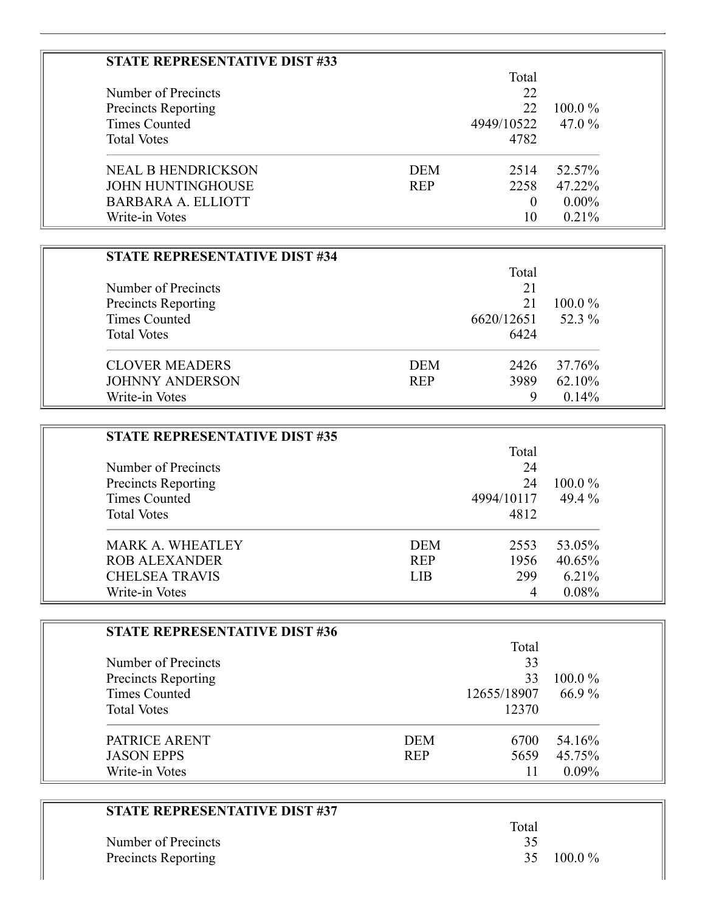| STATE REPRESENTATIVE DIST #33 |            |            |           |
|-------------------------------|------------|------------|-----------|
|                               |            | Total      |           |
| Number of Precincts           |            | 22         |           |
| Precincts Reporting           |            | 22         | $100.0\%$ |
| Times Counted                 |            | 4949/10522 | 47.0 %    |
| <b>Total Votes</b>            |            | 4782       |           |
| <b>NEAL B HENDRICKSON</b>     | <b>DEM</b> | 2514       | 52.57%    |
| <b>JOHN HUNTINGHOUSE</b>      | <b>REP</b> | 2258       | 47.22%    |
| BARBARA A. ELLIOTT            |            | 0          | $0.00\%$  |
| Write-in Votes                |            | 10         | $0.21\%$  |

Ξ

| <b>STATE REPRESENTATIVE DIST #34</b> |            |            |           |
|--------------------------------------|------------|------------|-----------|
|                                      |            | Total      |           |
| Number of Precincts                  |            | 21         |           |
| Precincts Reporting                  |            | 21         | $100.0\%$ |
| Times Counted                        |            | 6620/12651 | 52.3 %    |
| <b>Total Votes</b>                   |            | 6424       |           |
| <b>CLOVER MEADERS</b>                | <b>DEM</b> | 2426       | 37.76%    |
| <b>JOHNNY ANDERSON</b>               | <b>REP</b> | 3989       | 62.10%    |
| Write-in Votes                       |            | 9          | 0.14%     |

| <b>STATE REPRESENTATIVE DIST #35</b> |            |            |           |
|--------------------------------------|------------|------------|-----------|
|                                      |            | Total      |           |
| Number of Precincts                  |            | 24         |           |
| Precincts Reporting                  |            | 24         | $100.0\%$ |
| Times Counted                        |            | 4994/10117 | 49.4 $%$  |
| <b>Total Votes</b>                   |            | 4812       |           |
| <b>MARK A. WHEATLEY</b>              | <b>DEM</b> | 2553       | 53.05%    |
| <b>ROB ALEXANDER</b>                 | <b>REP</b> | 1956       | 40.65%    |
| <b>CHELSEA TRAVIS</b>                | LIB        | 299        | 6.21%     |
| Write-in Votes                       |            | 4          | 0.08%     |

| <b>STATE REPRESENTATIVE DIST #36</b> |            |             |           |
|--------------------------------------|------------|-------------|-----------|
|                                      |            | Total       |           |
| Number of Precincts                  |            | 33          |           |
| Precincts Reporting                  |            | 33          | $100.0\%$ |
| <b>Times Counted</b>                 |            | 12655/18907 | 66.9%     |
| <b>Total Votes</b>                   |            | 12370       |           |
| PATRICE ARENT                        | <b>DEM</b> | 6700        | 54.16%    |
| <b>JASON EPPS</b>                    | <b>REP</b> | 5659        | 45.75%    |
| Write-in Votes                       |            | 11          | $0.09\%$  |

| <b>STATE REPRESENTATIVE DIST #37</b> |       |           |
|--------------------------------------|-------|-----------|
|                                      | Total |           |
| Number of Precincts                  | 35    |           |
| Precincts Reporting                  | 35.   | $100.0\%$ |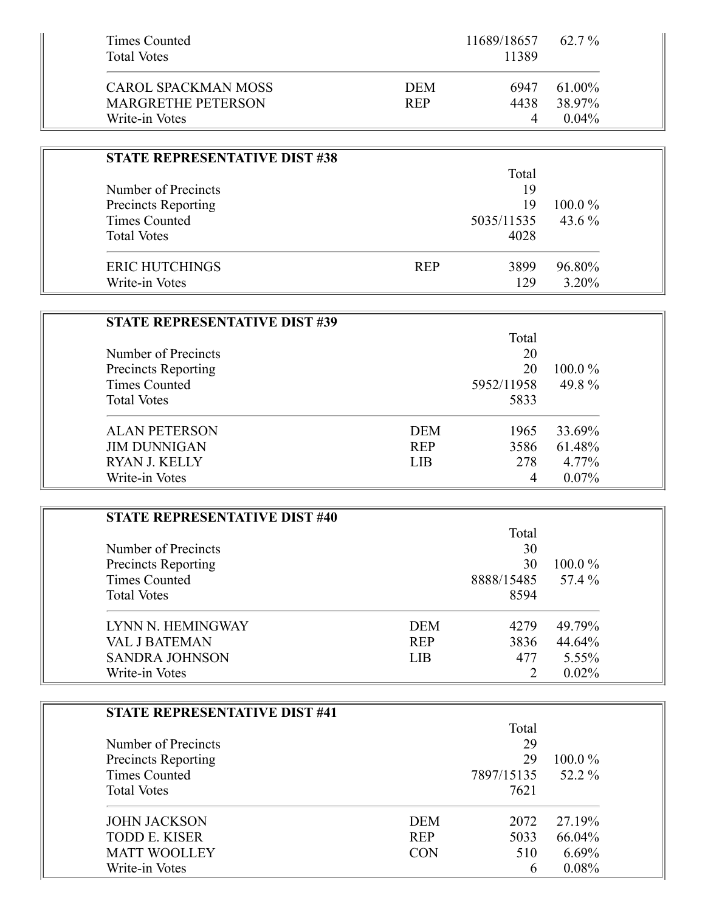| Times Counted<br><b>Total Votes</b> |            | 11689/18657<br>11389 | $62.7\%$ |
|-------------------------------------|------------|----------------------|----------|
|                                     |            |                      |          |
| CAROL SPACKMAN MOSS                 | <b>DEM</b> | 6947                 | 61.00%   |
| <b>MARGRETHE PETERSON</b>           | <b>REP</b> | 4438                 | 38.97%   |
| Write-in Votes                      |            | 4                    | $0.04\%$ |

| <b>STATE REPRESENTATIVE DIST #38</b> |            |            |           |
|--------------------------------------|------------|------------|-----------|
|                                      |            | Total      |           |
| Number of Precincts                  |            | 19         |           |
| <b>Precincts Reporting</b>           |            | 19         | $100.0\%$ |
| Times Counted                        |            | 5035/11535 | 43.6 $\%$ |
| <b>Total Votes</b>                   |            | 4028       |           |
| <b>ERIC HUTCHINGS</b>                | <b>REP</b> | 3899       | 96.80%    |
| Write-in Votes                       |            | 129        | 3.20%     |

| <b>STATE REPRESENTATIVE DIST #39</b> |            |            |           |
|--------------------------------------|------------|------------|-----------|
|                                      | Total      |            |           |
| Number of Precincts                  |            | 20         |           |
| <b>Precincts Reporting</b>           |            | 20         | $100.0\%$ |
| <b>Times Counted</b>                 |            | 5952/11958 | 49.8%     |
| <b>Total Votes</b>                   |            | 5833       |           |
| <b>ALAN PETERSON</b>                 | <b>DEM</b> | 1965       | 33.69%    |
| <b>JIM DUNNIGAN</b>                  | <b>REP</b> | 3586       | 61.48%    |
| <b>RYAN J. KELLY</b>                 | <b>LIB</b> | 278        | 4.77%     |
| Write-in Votes                       |            | 4          | $0.07\%$  |

| <b>STATE REPRESENTATIVE DIST #40</b> |            |            |           |
|--------------------------------------|------------|------------|-----------|
|                                      | Total      |            |           |
| Number of Precincts                  | 30         |            |           |
| <b>Precincts Reporting</b>           |            | 30         | $100.0\%$ |
| Times Counted                        |            | 8888/15485 | 57.4 %    |
| <b>Total Votes</b>                   |            | 8594       |           |
| LYNN N. HEMINGWAY                    | <b>DEM</b> | 4279       | 49.79%    |
| <b>VAL J BATEMAN</b>                 | <b>REP</b> | 3836       | 44.64%    |
| <b>SANDRA JOHNSON</b>                | <b>LIB</b> | 477        | $5.55\%$  |
| Write-in Votes                       |            |            | $0.02\%$  |

| <b>STATE REPRESENTATIVE DIST #41</b> |            |            |           |
|--------------------------------------|------------|------------|-----------|
|                                      | Total      |            |           |
| Number of Precincts                  | 29         |            |           |
| <b>Precincts Reporting</b>           |            | 29         | $100.0\%$ |
| <b>Times Counted</b>                 |            | 7897/15135 | 52.2 %    |
| <b>Total Votes</b>                   |            | 7621       |           |
| <b>JOHN JACKSON</b>                  | <b>DEM</b> | 2072       | 27.19%    |
| <b>TODD E. KISER</b>                 | <b>REP</b> | 5033       | 66.04%    |
| <b>MATT WOOLLEY</b>                  | <b>CON</b> | 510        | $6.69\%$  |
| Write-in Votes                       |            | 6          | 0.08%     |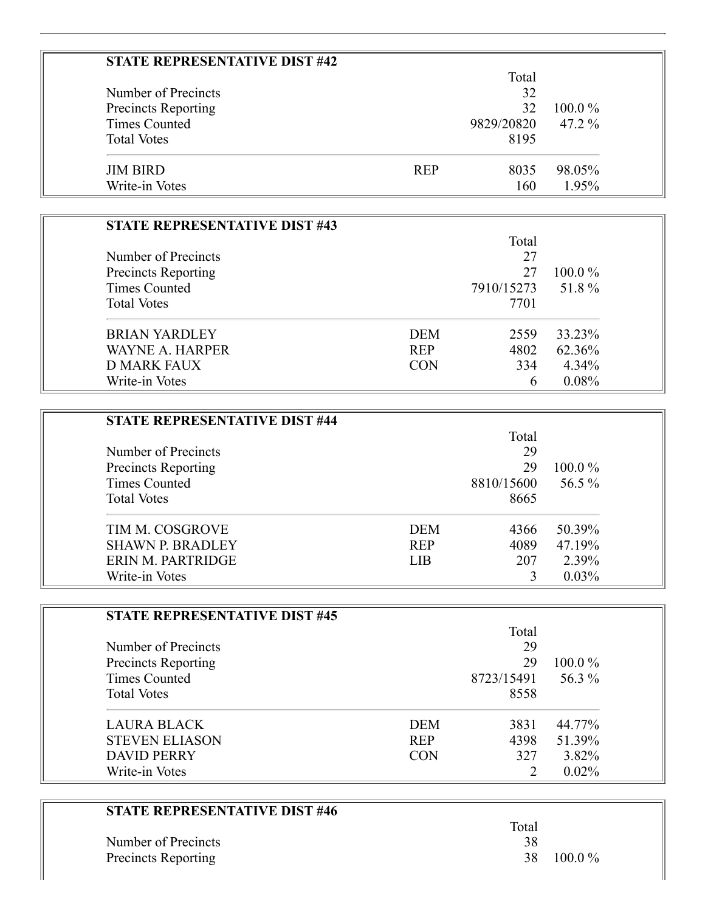| <b>STATE REPRESENTATIVE DIST #42</b> |            |            |           |
|--------------------------------------|------------|------------|-----------|
|                                      |            | Total      |           |
| Number of Precincts                  |            | 32         |           |
| Precincts Reporting                  |            | 32         | $100.0\%$ |
| <b>Times Counted</b>                 |            | 9829/20820 | $47.2\%$  |
| <b>Total Votes</b>                   |            | 8195       |           |
| <b>JIM BIRD</b>                      | <b>REP</b> | 8035       | 98.05%    |
| Write-in Votes                       |            | 160        | 1.95%     |

 $\equiv$ 

| STATE REPRESENTATIVE DIST #43 |            |            |           |
|-------------------------------|------------|------------|-----------|
|                               |            | Total      |           |
| Number of Precincts           |            | 27         |           |
| <b>Precincts Reporting</b>    |            | 27         | $100.0\%$ |
| <b>Times Counted</b>          |            | 7910/15273 | 51.8%     |
| <b>Total Votes</b>            |            | 7701       |           |
| <b>BRIAN YARDLEY</b>          | <b>DEM</b> | 2559       | 33.23%    |
| WAYNE A. HARPER               | <b>REP</b> | 4802       | 62.36%    |
| D MARK FAUX                   | <b>CON</b> | 334        | $4.34\%$  |
| Write-in Votes                |            | 6          | 0.08%     |

| <b>STATE REPRESENTATIVE DIST #44</b> |            |            |           |
|--------------------------------------|------------|------------|-----------|
|                                      |            | Total      |           |
| Number of Precincts                  |            | 29         |           |
| Precincts Reporting                  |            | 29         | $100.0\%$ |
| Times Counted                        |            | 8810/15600 | 56.5 $%$  |
| <b>Total Votes</b>                   |            | 8665       |           |
| TIM M. COSGROVE                      | <b>DEM</b> | 4366       | 50.39%    |
| <b>SHAWN P. BRADLEY</b>              | <b>REP</b> | 4089       | 47.19%    |
| ERIN M. PARTRIDGE                    | <b>LIB</b> | 207        | 2.39%     |
| Write-in Votes                       |            |            | $0.03\%$  |

| <b>STATE REPRESENTATIVE DIST #45</b> |            |            |           |
|--------------------------------------|------------|------------|-----------|
|                                      |            | Total      |           |
| Number of Precincts                  |            | 29         |           |
| Precincts Reporting                  |            | 29         | $100.0\%$ |
| Times Counted                        |            | 8723/15491 | 56.3 %    |
| <b>Total Votes</b>                   |            | 8558       |           |
| <b>LAURA BLACK</b>                   | DEM        | 3831       | 44.77%    |
| <b>STEVEN ELIASON</b>                | <b>REP</b> | 4398       | 51.39%    |
| <b>DAVID PERRY</b>                   | <b>CON</b> | 327        | 3.82%     |
| Write-in Votes                       |            |            | 0.02%     |

| <b>STATE REPRESENTATIVE DIST #46</b> |       |           |
|--------------------------------------|-------|-----------|
|                                      | Total |           |
| Number of Precincts                  | 38    |           |
| Precincts Reporting                  | 38.   | $100.0\%$ |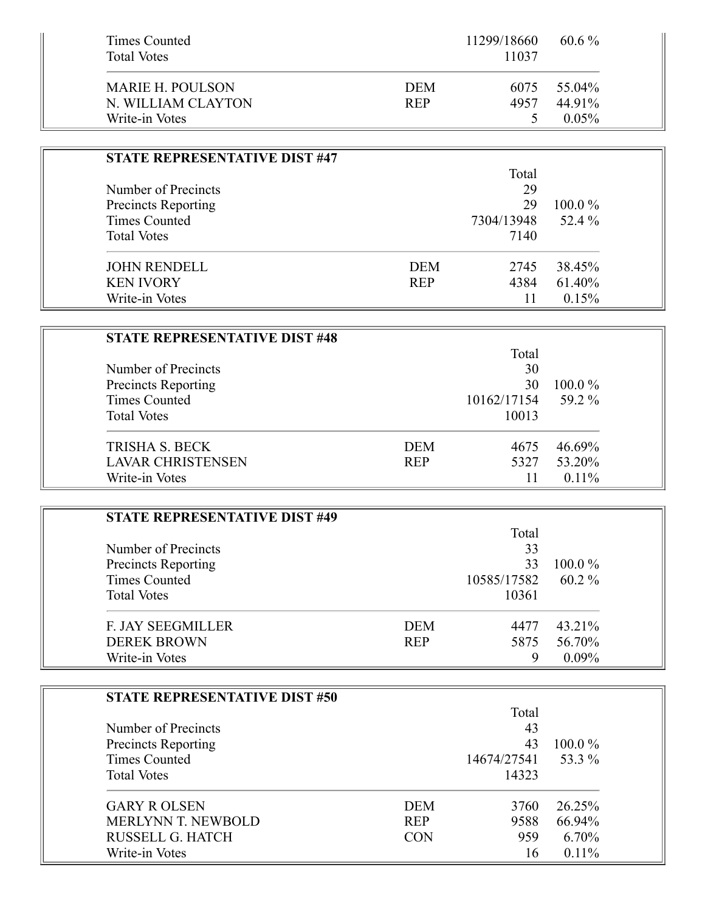| Times Counted<br><b>Total Votes</b> | 11299/18660 | 60.6 $%$<br>11037 |  |
|-------------------------------------|-------------|-------------------|--|
| MARIE H. POULSON                    | <b>DEM</b>  | 55.04%<br>6075    |  |
| N. WILLIAM CLAYTON                  | <b>REP</b>  | 44.91%<br>4957    |  |
| Write-in Votes                      |             | $0.05\%$          |  |

 $\sim$ 

| <b>STATE REPRESENTATIVE DIST #47</b> |            |            |           |
|--------------------------------------|------------|------------|-----------|
|                                      |            | Total      |           |
| Number of Precincts                  |            | 29         |           |
| <b>Precincts Reporting</b>           |            | 29         | $100.0\%$ |
| Times Counted                        |            | 7304/13948 | 52.4 %    |
| <b>Total Votes</b>                   |            | 7140       |           |
| <b>JOHN RENDELL</b>                  | <b>DEM</b> | 2745       | 38.45%    |
| <b>KEN IVORY</b>                     | <b>REP</b> | 4384       | 61.40%    |
| Write-in Votes                       |            |            | 0.15%     |

| <b>STATE REPRESENTATIVE DIST #48</b> |            |             |           |
|--------------------------------------|------------|-------------|-----------|
|                                      |            | Total       |           |
| Number of Precincts                  |            | 30          |           |
| <b>Precincts Reporting</b>           |            | 30          | $100.0\%$ |
| Times Counted                        |            | 10162/17154 | 59.2 %    |
| <b>Total Votes</b>                   |            | 10013       |           |
| <b>TRISHA S. BECK</b>                | <b>DEM</b> | 4675        | 46.69%    |
| <b>LAVAR CHRISTENSEN</b>             | <b>REP</b> | 5327        | 53.20%    |
| Write-in Votes                       |            |             | $0.11\%$  |

| <b>STATE REPRESENTATIVE DIST #49</b> |            |             |           |
|--------------------------------------|------------|-------------|-----------|
|                                      |            | Total       |           |
| Number of Precincts                  |            | 33          |           |
| Precincts Reporting                  |            | 33          | $100.0\%$ |
| <b>Times Counted</b>                 |            | 10585/17582 | $60.2\%$  |
| <b>Total Votes</b>                   |            | 10361       |           |
| <b>F. JAY SEEGMILLER</b>             | <b>DEM</b> | 4477        | 43.21%    |
| <b>DEREK BROWN</b>                   | <b>REP</b> | 5875        | 56.70%    |
| Write-in Votes                       |            |             | $0.09\%$  |

| <b>STATE REPRESENTATIVE DIST #50</b> |            |             |           |
|--------------------------------------|------------|-------------|-----------|
|                                      |            | Total       |           |
| Number of Precincts                  |            | 43          |           |
| <b>Precincts Reporting</b>           |            | 43          | $100.0\%$ |
| Times Counted                        |            | 14674/27541 | 53.3 %    |
| <b>Total Votes</b>                   |            | 14323       |           |
| <b>GARY R OLSEN</b>                  | <b>DEM</b> | 3760        | 26.25%    |
| <b>MERLYNN T. NEWBOLD</b>            | <b>REP</b> | 9588        | 66.94%    |
| RUSSELL G. HATCH                     | <b>CON</b> | 959         | 6.70%     |
| Write-in Votes                       |            | 16          | $0.11\%$  |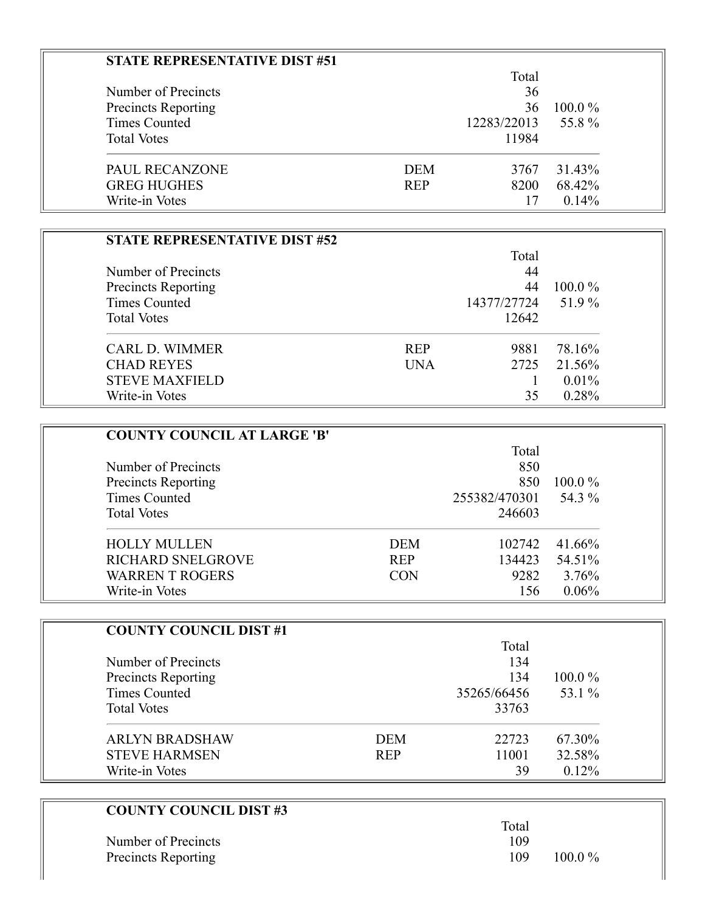| STATE REPRESENTATIVE DIST #51 |            |             |           |
|-------------------------------|------------|-------------|-----------|
|                               |            | Total       |           |
| Number of Precincts           |            | 36          |           |
| <b>Precincts Reporting</b>    |            | 36          | $100.0\%$ |
| Times Counted                 |            | 12283/22013 | 55.8%     |
| <b>Total Votes</b>            |            | 11984       |           |
| <b>PAUL RECANZONE</b>         | <b>DEM</b> | 3767        | 31.43%    |
| <b>GREG HUGHES</b>            | <b>REP</b> | 8200        | 68.42%    |
| Write-in Votes                |            | 17          | 0.14%     |

| <b>STATE REPRESENTATIVE DIST #52</b> |            |             |           |
|--------------------------------------|------------|-------------|-----------|
|                                      |            | Total       |           |
| Number of Precincts                  |            | 44          |           |
| <b>Precincts Reporting</b>           |            | 44          | $100.0\%$ |
| Times Counted                        |            | 14377/27724 | 51.9%     |
| <b>Total Votes</b>                   |            | 12642       |           |
| <b>CARL D. WIMMER</b>                | <b>REP</b> | 9881        | 78.16%    |
| <b>CHAD REYES</b>                    | <b>UNA</b> | 2725        | 21.56%    |
| <b>STEVE MAXFIELD</b>                |            |             | 0.01%     |
| Write-in Votes                       |            | 35          | 0.28%     |

| <b>COUNTY COUNCIL AT LARGE 'B'</b> |            |               |           |
|------------------------------------|------------|---------------|-----------|
|                                    |            | Total         |           |
| Number of Precincts                |            | 850           |           |
| <b>Precincts Reporting</b>         |            | 850           | $100.0\%$ |
| Times Counted                      |            | 255382/470301 | 54.3 %    |
| <b>Total Votes</b>                 |            | 246603        |           |
| <b>HOLLY MULLEN</b>                | <b>DEM</b> | 102742        | 41.66%    |
| <b>RICHARD SNELGROVE</b>           | <b>REP</b> | 134423        | 54.51%    |
| <b>WARREN T ROGERS</b>             | <b>CON</b> | 9282          | 3.76%     |
| Write-in Votes                     |            | 156           | $0.06\%$  |

| <b>COUNTY COUNCIL DIST #1</b> |            |             |           |
|-------------------------------|------------|-------------|-----------|
|                               |            | Total       |           |
| Number of Precincts           |            | 134         |           |
| Precincts Reporting           |            | 134         | $100.0\%$ |
| <b>Times Counted</b>          |            | 35265/66456 | 53.1 %    |
| <b>Total Votes</b>            |            | 33763       |           |
| <b>ARLYN BRADSHAW</b>         | <b>DEM</b> | 22723       | 67.30%    |
| <b>STEVE HARMSEN</b>          | <b>REP</b> | 11001       | 32.58%    |
| Write-in Votes                |            | 39          | 0.12%     |

| <b>COUNTY COUNCIL DIST #3</b> |       |           |
|-------------------------------|-------|-----------|
|                               | Total |           |
| Number of Precincts           | 109   |           |
| Precincts Reporting           | 109   | $100.0\%$ |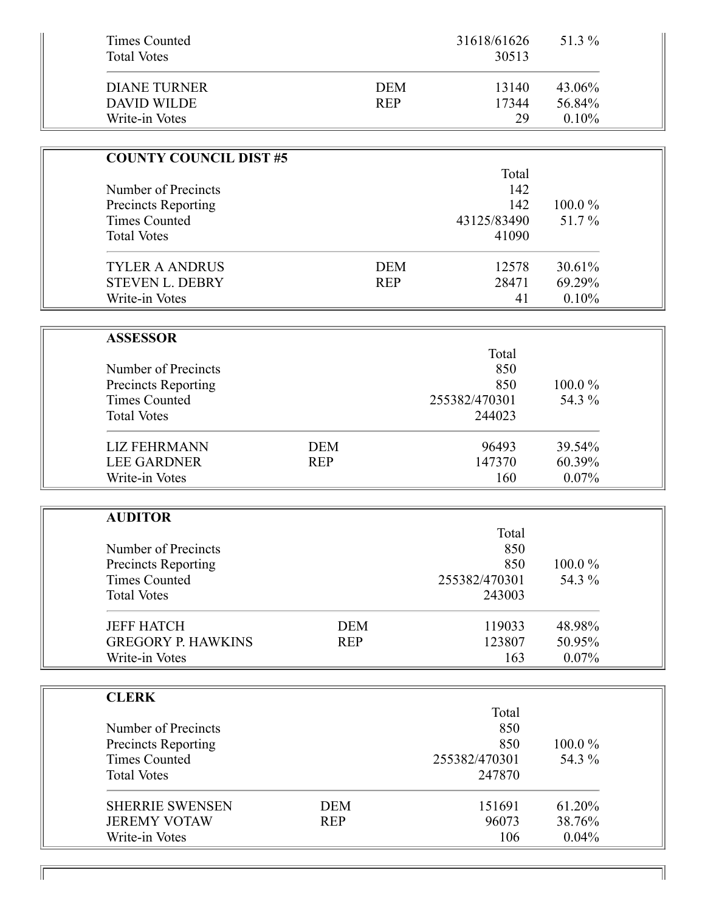| <b>Times Counted</b><br><b>Total Votes</b>                  |            |                          | 31618/61626<br>30513 | 51.3 %                    |  |
|-------------------------------------------------------------|------------|--------------------------|----------------------|---------------------------|--|
| <b>DIANE TURNER</b><br><b>DAVID WILDE</b><br>Write-in Votes |            | <b>DEM</b><br><b>REP</b> | 13140<br>17344<br>29 | 43.06%<br>56.84%<br>0.10% |  |
|                                                             |            |                          |                      |                           |  |
| <b>COUNTY COUNCIL DIST #5</b>                               |            |                          |                      |                           |  |
|                                                             |            |                          | Total                |                           |  |
| Number of Precincts                                         |            |                          | 142                  |                           |  |
| <b>Precincts Reporting</b>                                  |            |                          | 142                  | 100.0%                    |  |
| <b>Times Counted</b>                                        |            |                          | 43125/83490          | 51.7%                     |  |
| <b>Total Votes</b>                                          |            |                          | 41090                |                           |  |
| <b>TYLER A ANDRUS</b>                                       |            | <b>DEM</b>               | 12578                | 30.61%                    |  |
| <b>STEVEN L. DEBRY</b>                                      |            | <b>REP</b>               | 28471                | 69.29%                    |  |
| Write-in Votes                                              |            |                          | 41                   | 0.10%                     |  |
|                                                             |            |                          |                      |                           |  |
| <b>ASSESSOR</b>                                             |            |                          |                      |                           |  |
|                                                             |            |                          | Total                |                           |  |
| Number of Precincts                                         |            |                          | 850                  |                           |  |
| <b>Precincts Reporting</b>                                  |            |                          | 850                  | 100.0%                    |  |
| <b>Times Counted</b>                                        |            |                          | 255382/470301        | 54.3 %                    |  |
| <b>Total Votes</b>                                          |            |                          | 244023               |                           |  |
| <b>LIZ FEHRMANN</b>                                         | <b>DEM</b> |                          | 96493                | 39.54%                    |  |
| <b>LEE GARDNER</b>                                          | <b>REP</b> |                          | 147370               | 60.39%                    |  |
| Write-in Votes                                              |            |                          | 160                  | 0.07%                     |  |
|                                                             |            |                          |                      |                           |  |
| <b>AUDITOR</b>                                              |            |                          |                      |                           |  |
|                                                             |            |                          | Total                |                           |  |
| Number of Precincts                                         |            |                          | 850                  |                           |  |
| <b>Precincts Reporting</b>                                  |            |                          | 850                  | 100.0%                    |  |
| <b>Times Counted</b>                                        |            |                          | 255382/470301        | 54.3 %                    |  |
| <b>Total Votes</b>                                          |            |                          | 243003               |                           |  |
| <b>JEFF HATCH</b>                                           | <b>DEM</b> |                          | 119033               | 48.98%                    |  |
| <b>GREGORY P. HAWKINS</b>                                   | <b>REP</b> |                          | 123807               | 50.95%                    |  |
| Write-in Votes                                              |            |                          | 163                  | 0.07%                     |  |
|                                                             |            |                          |                      |                           |  |
| <b>CLERK</b>                                                |            |                          |                      |                           |  |
|                                                             |            |                          | Total                |                           |  |
| Number of Precincts                                         |            |                          | 850<br>850           | 100.0%                    |  |
| <b>Precincts Reporting</b><br><b>Times Counted</b>          |            |                          | 255382/470301        | 54.3 %                    |  |
| <b>Total Votes</b>                                          |            |                          | 247870               |                           |  |
|                                                             |            |                          |                      |                           |  |
| <b>SHERRIE SWENSEN</b>                                      | <b>DEM</b> |                          | 151691               | 61.20%                    |  |
| <b>JEREMY VOTAW</b>                                         | <b>REP</b> |                          | 96073                | 38.76%                    |  |
| Write-in Votes                                              |            |                          | 106                  | 0.04%                     |  |

 $\overline{\mathbb{I}}$ 

 $\overline{\mathbb{F}}$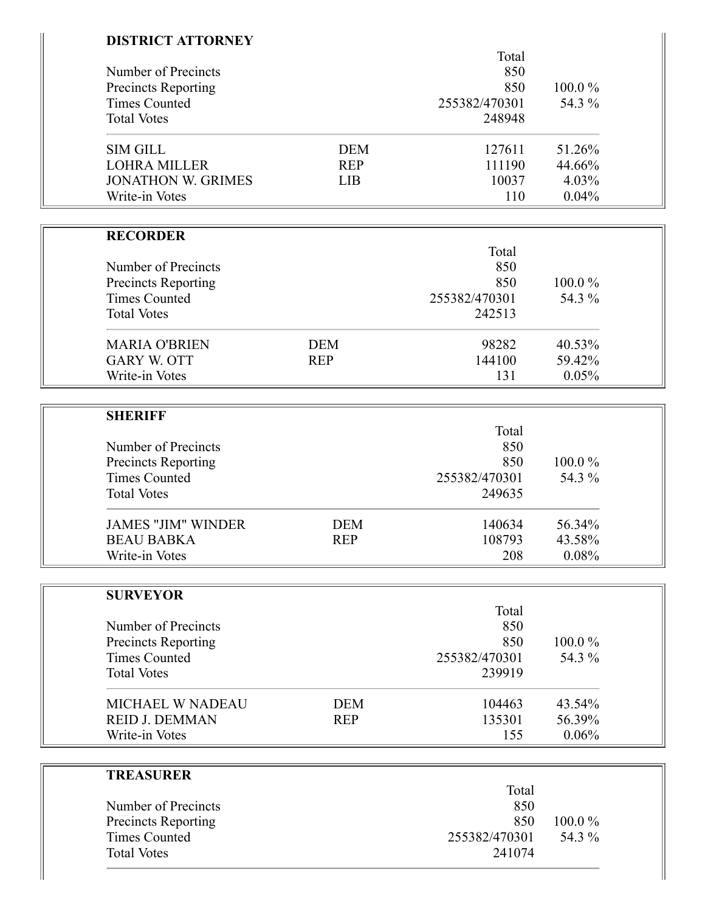| <b>DISTRICT ATTORNEY</b>   |            |               |        |
|----------------------------|------------|---------------|--------|
|                            |            | Total         |        |
| Number of Precincts        |            | 850           |        |
| <b>Precincts Reporting</b> |            | 850           | 100.0% |
| <b>Times Counted</b>       |            | 255382/470301 | 54.3 % |
| <b>Total Votes</b>         |            | 248948        |        |
| <b>SIM GILL</b>            | <b>DEM</b> | 127611        | 51.26% |
| <b>LOHRA MILLER</b>        | <b>REP</b> | 111190        | 44.66% |
| <b>JONATHON W. GRIMES</b>  | <b>LIB</b> | 10037         | 4.03%  |
| Write-in Votes             |            | 110           | 0.04%  |
|                            |            |               |        |
| <b>RECORDER</b>            |            | Total         |        |
| Number of Precincts        |            | 850           |        |
|                            |            | 850           | 100.0% |
| <b>Precincts Reporting</b> |            |               |        |
| <b>Times Counted</b>       |            | 255382/470301 | 54.3 % |
| <b>Total Votes</b>         |            | 242513        |        |
| <b>MARIA O'BRIEN</b>       | <b>DEM</b> | 98282         | 40.53% |
| <b>GARY W. OTT</b>         | <b>REP</b> | 144100        | 59.42% |
| Write-in Votes             |            | 131           | 0.05%  |
|                            |            |               |        |
| <b>SHERIFF</b>             |            |               |        |
|                            |            | Total         |        |
| Number of Precincts        |            | 850           |        |
| <b>Precincts Reporting</b> |            | 850           | 100.0% |
| <b>Times Counted</b>       |            | 255382/470301 | 54.3 % |
| <b>Total Votes</b>         |            | 249635        |        |
| <b>JAMES "JIM" WINDER</b>  | <b>DEM</b> | 140634        | 56.34% |
| <b>BEAU BABKA</b>          | <b>REP</b> | 108793        | 43.58% |
| Write-in Votes             |            | 208           | 0.08%  |
|                            |            |               |        |
| <b>SURVEYOR</b>            |            |               |        |
|                            |            | Total         |        |
| Number of Precincts        |            | 850           |        |
| <b>Precincts Reporting</b> |            | 850           | 100.0% |
| <b>Times Counted</b>       |            | 255382/470301 | 54.3 % |
| <b>Total Votes</b>         |            | 239919        |        |
| <b>MICHAEL W NADEAU</b>    | <b>DEM</b> | 104463        | 43.54% |
| <b>REID J. DEMMAN</b>      | <b>REP</b> | 135301        | 56.39% |
| Write-in Votes             |            | 155           | 0.06%  |
|                            |            |               |        |
| <b>TREASURER</b>           |            |               |        |
|                            |            | Total         |        |
| Number of Precincts        |            | 850           |        |
| <b>Precincts Reporting</b> |            | 850           | 100.0% |
| <b>Times Counted</b>       |            | 255382/470301 | 54.3 % |
| <b>Total Votes</b>         |            | 241074        |        |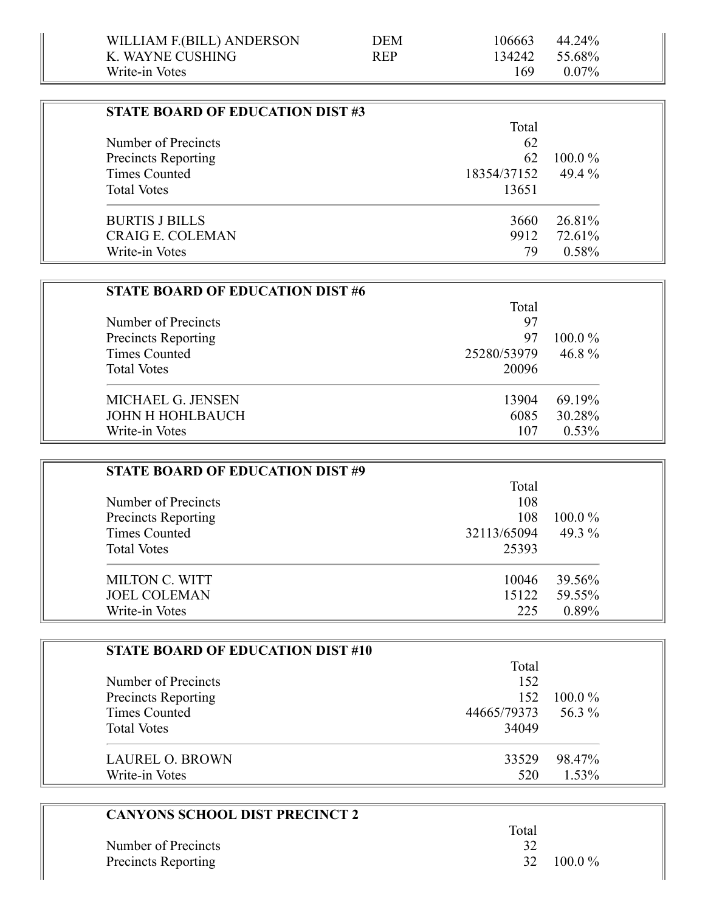| <b>STATE BOARD OF EDUCATION DIST #3</b> |             |           |
|-----------------------------------------|-------------|-----------|
|                                         | Total       |           |
| Number of Precincts                     | 62          |           |
| Precincts Reporting                     | 62          | $100.0\%$ |
| Times Counted                           | 18354/37152 | 49.4 $%$  |
| <b>Total Votes</b>                      | 13651       |           |
| <b>BURTIS J BILLS</b>                   | 3660        | 26.81%    |
| <b>CRAIG E. COLEMAN</b>                 | 9912        | 72.61%    |
| Write-in Votes                          | 79          | 0.58%     |

| <b>STATE BOARD OF EDUCATION DIST #6</b> |             |           |
|-----------------------------------------|-------------|-----------|
|                                         | Total       |           |
| Number of Precincts                     | 97          |           |
| <b>Precincts Reporting</b>              | 97          | $100.0\%$ |
| Times Counted                           | 25280/53979 | 46.8 $%$  |
| <b>Total Votes</b>                      | 20096       |           |
| MICHAEL G. JENSEN                       | 13904       | 69.19%    |
| JOHN H HOHLBAUCH                        | 6085        | 30.28%    |
| Write-in Votes                          | 107         | $0.53\%$  |

| <b>STATE BOARD OF EDUCATION DIST #9</b> |             |           |
|-----------------------------------------|-------------|-----------|
|                                         | Total       |           |
| Number of Precincts                     | 108         |           |
| Precincts Reporting                     | 108         | $100.0\%$ |
| Times Counted                           | 32113/65094 | 49.3 %    |
| <b>Total Votes</b>                      | 25393       |           |
| <b>MILTON C. WITT</b>                   | 10046       | 39.56%    |
| <b>JOEL COLEMAN</b>                     | 15122       | 59.55%    |
| Write-in Votes                          | 225         | 0.89%     |

| <b>STATE BOARD OF EDUCATION DIST #10</b> |             |           |
|------------------------------------------|-------------|-----------|
|                                          | Total       |           |
| Number of Precincts                      | 152         |           |
| Precincts Reporting                      | 152         | $100.0\%$ |
| <b>Times Counted</b>                     | 44665/79373 | 56.3 %    |
| <b>Total Votes</b>                       | 34049       |           |
| <b>LAUREL O. BROWN</b>                   | 33529       | 98.47%    |
| Write-in Votes                           | 520         | 1.53%     |

| <b>CANYONS SCHOOL DIST PRECINCT 2</b> |       |           |
|---------------------------------------|-------|-----------|
|                                       | Total |           |
| Number of Precincts                   | 32    |           |
| Precincts Reporting                   | 32    | $100.0\%$ |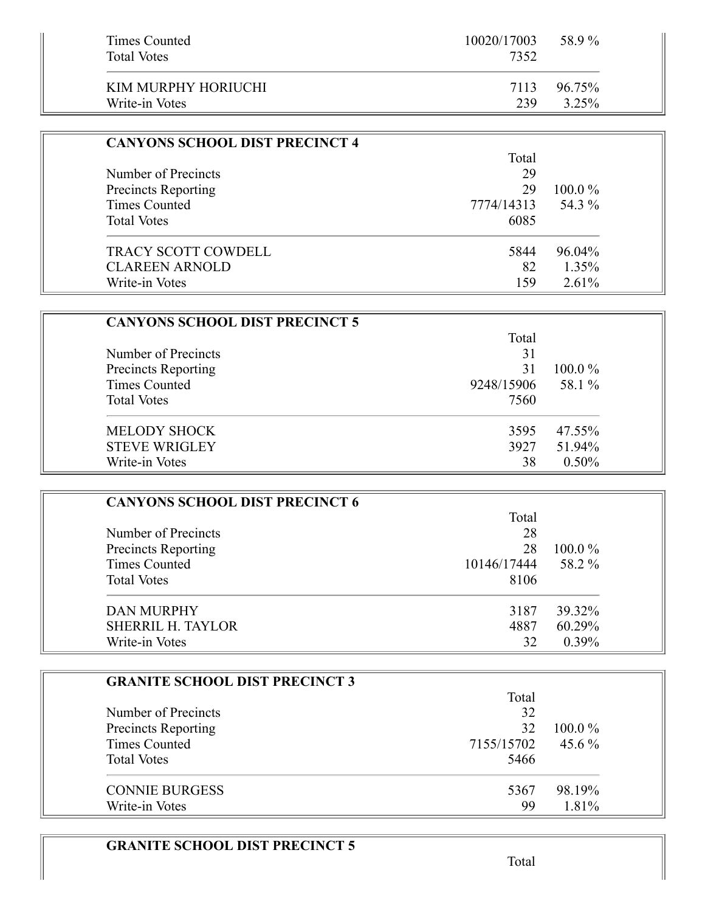| Times Counted<br><b>Total Votes</b> | 10020/17003<br>7352 | 58.9%  |
|-------------------------------------|---------------------|--------|
| KIM MURPHY HORIUCHI                 | 7113                | 96.75% |
| Write-in Votes                      | 239                 | 3.25%  |

| <b>CANYONS SCHOOL DIST PRECINCT 4</b> |            |           |
|---------------------------------------|------------|-----------|
|                                       | Total      |           |
| Number of Precincts                   | 29         |           |
| <b>Precincts Reporting</b>            | 29         | $100.0\%$ |
| <b>Times Counted</b>                  | 7774/14313 | 54.3 %    |
| <b>Total Votes</b>                    | 6085       |           |
| <b>TRACY SCOTT COWDELL</b>            | 5844       | 96.04%    |
| <b>CLAREEN ARNOLD</b>                 | 82         | $1.35\%$  |
| Write-in Votes                        | 159        | $2.61\%$  |

| <b>CANYONS SCHOOL DIST PRECINCT 5</b>      |            |           |
|--------------------------------------------|------------|-----------|
| Number of Precincts<br>Precincts Reporting | Total      |           |
|                                            | 31         |           |
|                                            | 31         | $100.0\%$ |
| Times Counted                              | 9248/15906 | 58.1 %    |
| <b>Total Votes</b>                         | 7560       |           |
| <b>MELODY SHOCK</b>                        | 3595       | 47.55%    |
| <b>STEVE WRIGLEY</b>                       | 3927       | 51.94%    |
| Write-in Votes                             | 38         | $0.50\%$  |

| <b>CANYONS SCHOOL DIST PRECINCT 6</b> |             |           |
|---------------------------------------|-------------|-----------|
|                                       | Total       |           |
| Number of Precincts                   | 28          |           |
| <b>Precincts Reporting</b>            | 28          | $100.0\%$ |
| <b>Times Counted</b>                  | 10146/17444 | 58.2 %    |
| <b>Total Votes</b>                    | 8106        |           |
| DAN MURPHY                            | 3187        | 39.32%    |
| <b>SHERRIL H. TAYLOR</b>              | 4887        | 60.29%    |
| Write-in Votes                        | 32          | $0.39\%$  |

| <b>GRANITE SCHOOL DIST PRECINCT 3</b> |            |           |
|---------------------------------------|------------|-----------|
|                                       | Total      |           |
| Number of Precincts                   | 32         |           |
| Precincts Reporting                   | 32         | $100.0\%$ |
| Times Counted                         | 7155/15702 | 45.6 $\%$ |
| <b>Total Votes</b>                    | 5466       |           |
| <b>CONNIE BURGESS</b>                 | 5367       | 98.19%    |
| Write-in Votes                        | 99         | 1.81%     |

## **GRANITE SCHOOL DIST PRECINCT 5**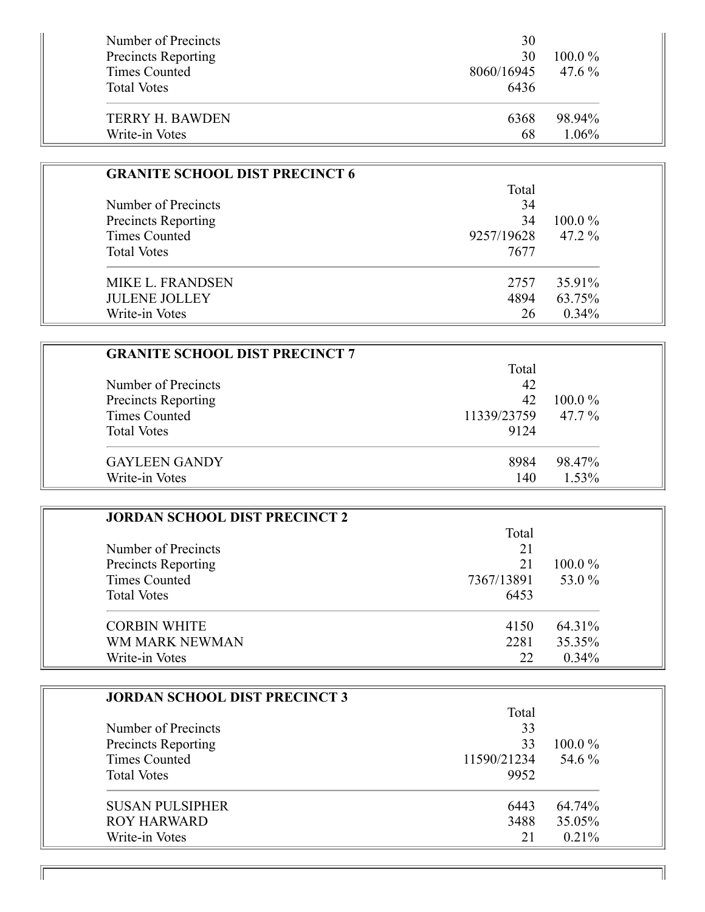| Number of Precincts<br><b>Precincts Reporting</b><br>Times Counted<br><b>Total Votes</b> | 30<br>30<br>8060/16945<br>6436 | $100.0\%$<br>$47.6\%$ |
|------------------------------------------------------------------------------------------|--------------------------------|-----------------------|
| <b>TERRY H. BAWDEN</b>                                                                   | 6368                           | 98.94%                |
| Write-in Votes                                                                           | 68                             | 1.06%                 |

| <b>GRANITE SCHOOL DIST PRECINCT 6</b>             |            |           |
|---------------------------------------------------|------------|-----------|
|                                                   | Total      |           |
| Number of Precincts<br><b>Precincts Reporting</b> | 34         |           |
|                                                   | 34         | $100.0\%$ |
| <b>Times Counted</b>                              | 9257/19628 | $47.2\%$  |
| <b>Total Votes</b>                                | 7677       |           |
| <b>MIKE L. FRANDSEN</b>                           | 2757       | 35.91%    |
| <b>JULENE JOLLEY</b>                              | 4894       | 63.75%    |
| Write-in Votes                                    | 26         | 0.34%     |

| <b>GRANITE SCHOOL DIST PRECINCT 7</b> |             |           |
|---------------------------------------|-------------|-----------|
|                                       | Total       |           |
| Number of Precincts                   | 42          |           |
| Precincts Reporting                   | 42          | $100.0\%$ |
| <b>Times Counted</b>                  | 11339/23759 | $47.7\%$  |
| <b>Total Votes</b>                    | 9124        |           |
| <b>GAYLEEN GANDY</b>                  | 8984        | 98.47%    |
| Write-in Votes                        | 140         | 1.53%     |

| <b>JORDAN SCHOOL DIST PRECINCT 2</b> |            |           |
|--------------------------------------|------------|-----------|
|                                      | Total      |           |
| Number of Precincts                  | 21         |           |
| Precincts Reporting                  | 21         | $100.0\%$ |
| <b>Times Counted</b>                 | 7367/13891 | 53.0 %    |
| <b>Total Votes</b>                   | 6453       |           |
| <b>CORBIN WHITE</b>                  | 4150       | 64.31%    |
| WM MARK NEWMAN                       | 2281       | 35.35%    |
| Write-in Votes                       | 22         | $0.34\%$  |

| <b>JORDAN SCHOOL DIST PRECINCT 3</b> |             |           |
|--------------------------------------|-------------|-----------|
|                                      | Total       |           |
| Number of Precincts                  | 33          |           |
| <b>Precincts Reporting</b>           | 33          | $100.0\%$ |
| Times Counted                        | 11590/21234 | 54.6 %    |
| <b>Total Votes</b>                   | 9952        |           |
| <b>SUSAN PULSIPHER</b>               | 6443        | 64.74%    |
| ROY HARWARD                          | 3488        | 35.05%    |
| Write-in Votes                       | 21          | $0.21\%$  |

11

Ī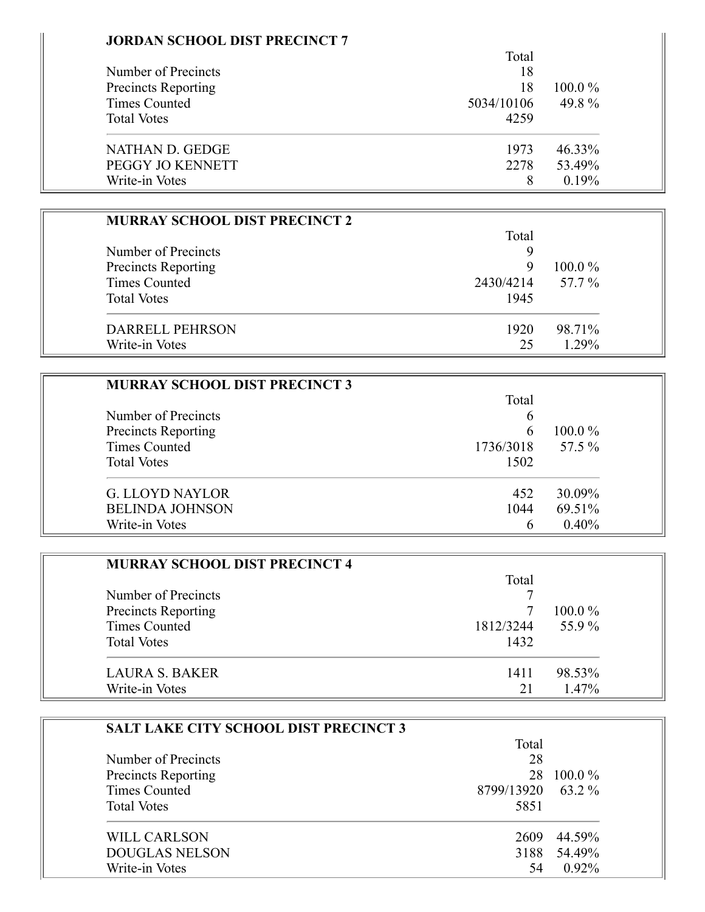| <b>JORDAN SCHOOL DIST PRECINCT 7</b> |
|--------------------------------------|
|                                      |

Ξ

|                            | Total      |           |
|----------------------------|------------|-----------|
| Number of Precincts        | 18         |           |
| <b>Precincts Reporting</b> | 18         | $100.0\%$ |
| Times Counted              | 5034/10106 | 49.8%     |
| <b>Total Votes</b>         | 4259       |           |
| NATHAN D. GEDGE            | 1973       | 46.33%    |
| PEGGY JO KENNETT           | 2278       | 53.49%    |
| Write-in Votes             | 8          | 0.19%     |

| <b>MURRAY SCHOOL DIST PRECINCT 2</b> |           |           |
|--------------------------------------|-----------|-----------|
|                                      | Total     |           |
| Number of Precincts                  |           |           |
| Precincts Reporting                  | 9         | $100.0\%$ |
| <b>Times Counted</b>                 | 2430/4214 | 57.7 %    |
| <b>Total Votes</b>                   | 1945      |           |
| <b>DARRELL PEHRSON</b>               | 1920      | 98.71%    |
| Write-in Votes                       | 25        | 1.29%     |

| <b>MURRAY SCHOOL DIST PRECINCT 3</b> |           |           |
|--------------------------------------|-----------|-----------|
|                                      | Total     |           |
| Number of Precincts                  | b         |           |
| Precincts Reporting                  | 6         | $100.0\%$ |
| <b>Times Counted</b>                 | 1736/3018 | 57.5 %    |
| <b>Total Votes</b>                   | 1502      |           |
| <b>G. LLOYD NAYLOR</b>               | 452       | 30.09%    |
| <b>BELINDA JOHNSON</b>               | 1044      | 69.51%    |
| Write-in Votes                       | h         | 0.40%     |

| <b>MURRAY SCHOOL DIST PRECINCT 4</b> |           |           |
|--------------------------------------|-----------|-----------|
|                                      | Total     |           |
| Number of Precincts                  |           |           |
| Precincts Reporting                  |           | $100.0\%$ |
| <b>Times Counted</b>                 | 1812/3244 | 55.9%     |
| <b>Total Votes</b>                   | 1432      |           |
| LAURA S. BAKER                       | 1411      | 98.53%    |
| Write-in Votes                       | 21        | $1.47\%$  |

| <b>SALT LAKE CITY SCHOOL DIST PRECINCT 3</b> |            |           |
|----------------------------------------------|------------|-----------|
|                                              | Total      |           |
| Number of Precincts                          | 28         |           |
| Precincts Reporting                          | 28         | $100.0\%$ |
| Times Counted                                | 8799/13920 | 63.2 %    |
| <b>Total Votes</b>                           | 5851       |           |
| WILL CARLSON                                 | 2609       | 44.59%    |
| <b>DOUGLAS NELSON</b>                        | 3188       | 54.49%    |
| Write-in Votes                               | 54         | $0.92\%$  |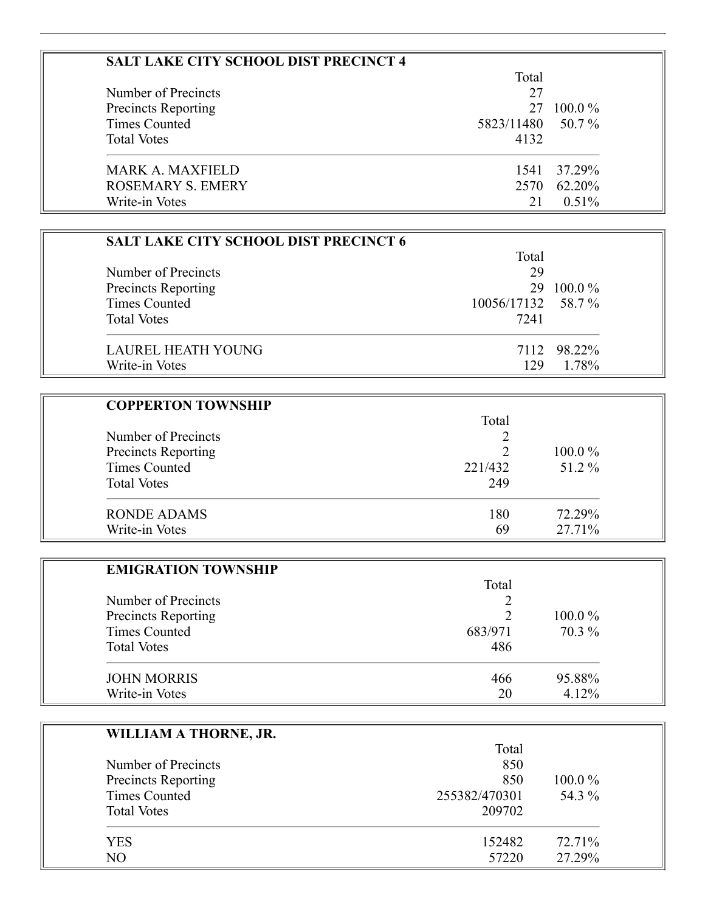|                                             | Total                   |           |  |
|---------------------------------------------|-------------------------|-----------|--|
| Number of Precincts                         | 27                      |           |  |
| <b>Precincts Reporting</b><br>Times Counted | 27<br>5823/11480 50.7 % | $100.0\%$ |  |
|                                             |                         |           |  |
| <b>Total Votes</b>                          | 4132                    |           |  |
| <b>MARK A. MAXFIELD</b>                     | 1541                    | 37.29%    |  |
| <b>ROSEMARY S. EMERY</b>                    | 2570                    | 62.20%    |  |
| Write-in Votes                              | 21                      | $0.51\%$  |  |

| <b>SALT LAKE CITY SCHOOL DIST PRECINCT 6</b> |                    |             |
|----------------------------------------------|--------------------|-------------|
|                                              | Total              |             |
| Number of Precincts                          | 29                 |             |
| <b>Precincts Reporting</b>                   | 29                 | $100.0\%$   |
| Times Counted                                | 10056/17132 58.7 % |             |
| <b>Total Votes</b>                           | 7241               |             |
| LAUREL HEATH YOUNG                           |                    | 7112 98.22% |
| Write-in Votes                               | 129                | 1.78%       |

| <b>COPPERTON TOWNSHIP</b> |         |           |
|---------------------------|---------|-----------|
|                           | Total   |           |
| Number of Precincts       |         |           |
| Precincts Reporting       |         | $100.0\%$ |
| Times Counted             | 221/432 | 51.2 %    |
| <b>Total Votes</b>        | 249     |           |
| <b>RONDE ADAMS</b>        | 180     | 72.29%    |
| Write-in Votes            | 69      | 27.71%    |

| <b>EMIGRATION TOWNSHIP</b> |         |           |
|----------------------------|---------|-----------|
|                            | Total   |           |
| Number of Precincts        |         |           |
| Precincts Reporting        |         | $100.0\%$ |
| <b>Times Counted</b>       | 683/971 | 70.3 %    |
| <b>Total Votes</b>         | 486     |           |
| <b>JOHN MORRIS</b>         | 466     | 95.88%    |
| Write-in Votes             | 20      | 4.12%     |

| WILLIAM A THORNE, JR. |               |        |
|-----------------------|---------------|--------|
|                       | Total         |        |
| Number of Precincts   | 850           |        |
| Precincts Reporting   | 850           | 100.0% |
| <b>Times Counted</b>  | 255382/470301 | 54.3 % |
| <b>Total Votes</b>    | 209702        |        |
| <b>YES</b>            | 152482        | 72.71% |
| NO                    | 57220         | 27.29% |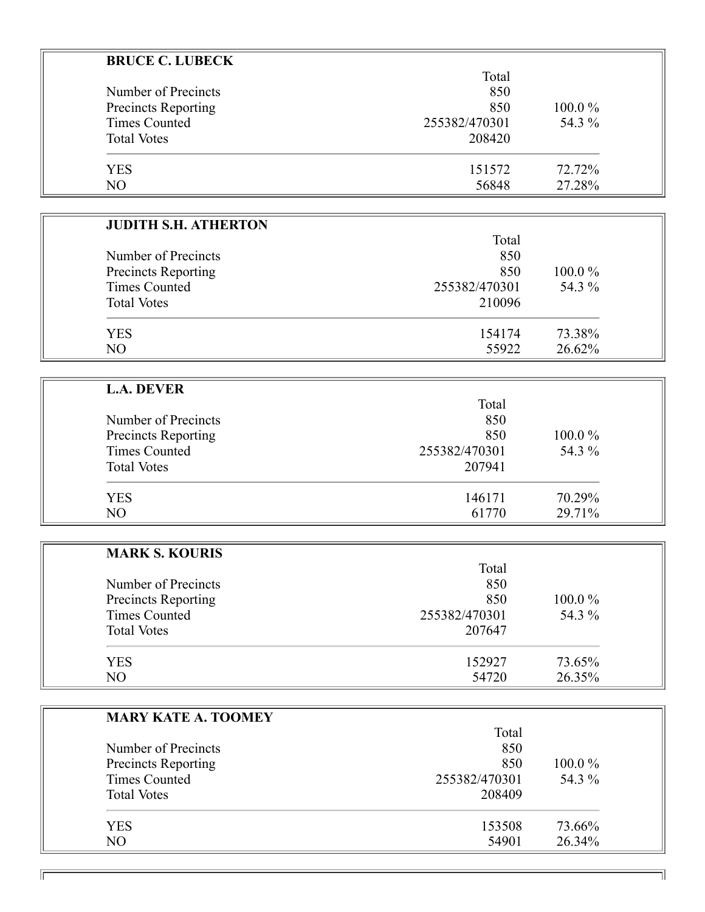| <b>BRUCE C. LUBECK</b>      |               |        |  |
|-----------------------------|---------------|--------|--|
|                             | Total         |        |  |
| Number of Precincts         | 850           |        |  |
| <b>Precincts Reporting</b>  | 850           | 100.0% |  |
| <b>Times Counted</b>        | 255382/470301 | 54.3 % |  |
| <b>Total Votes</b>          | 208420        |        |  |
|                             |               |        |  |
| <b>YES</b>                  | 151572        | 72.72% |  |
| NO                          | 56848         | 27.28% |  |
|                             |               |        |  |
| <b>JUDITH S.H. ATHERTON</b> |               |        |  |
|                             | Total         |        |  |
| Number of Precincts         | 850           |        |  |
| <b>Precincts Reporting</b>  | 850           | 100.0% |  |
| <b>Times Counted</b>        | 255382/470301 | 54.3 % |  |
| <b>Total Votes</b>          | 210096        |        |  |
|                             |               |        |  |
| <b>YES</b>                  | 154174        | 73.38% |  |
| NO                          | 55922         | 26.62% |  |
|                             |               |        |  |
| <b>L.A. DEVER</b>           |               |        |  |
|                             | Total         |        |  |
| Number of Precincts         | 850           |        |  |
| <b>Precincts Reporting</b>  | 850           | 100.0% |  |
| <b>Times Counted</b>        | 255382/470301 | 54.3 % |  |
| <b>Total Votes</b>          | 207941        |        |  |
|                             |               |        |  |
| <b>YES</b>                  | 146171        | 70.29% |  |
| NO                          | 61770         | 29.71% |  |
|                             |               |        |  |
| <b>MARK S. KOURIS</b>       |               |        |  |
|                             | Total         |        |  |
| Number of Precincts         | 850           |        |  |
| <b>Precincts Reporting</b>  | 850           | 100.0% |  |
| <b>Times Counted</b>        | 255382/470301 | 54.3 % |  |
| <b>Total Votes</b>          | 207647        |        |  |
|                             |               |        |  |
| <b>YES</b>                  | 152927        | 73.65% |  |
| NO                          | 54720         | 26.35% |  |
|                             |               |        |  |
| <b>MARY KATE A. TOOMEY</b>  |               |        |  |
|                             | Total         |        |  |
| Number of Precincts         | 850           |        |  |
| <b>Precincts Reporting</b>  | 850           | 100.0% |  |
| <b>Times Counted</b>        | 255382/470301 | 54.3 % |  |
|                             |               |        |  |

Total Votes 208409 YES 153508 73.66% NO 54901 26.34%

 $\overline{\mathbb{F}}$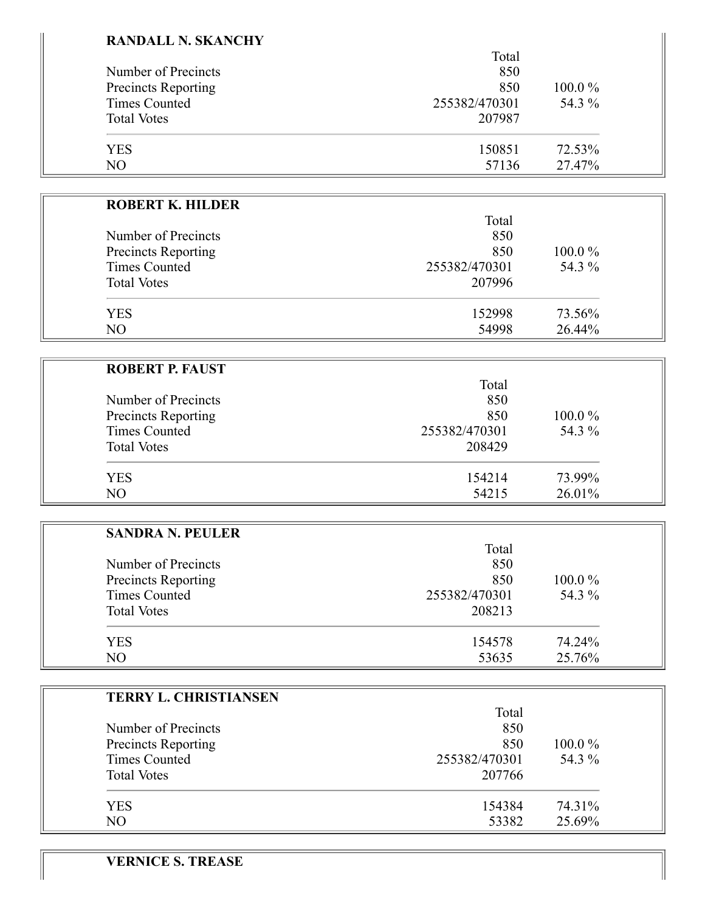#### **RANDALL N. SKANCHY**

|                            | Total         |           |
|----------------------------|---------------|-----------|
| Number of Precincts        | 850           |           |
| <b>Precincts Reporting</b> | 850           | $100.0\%$ |
| <b>Times Counted</b>       | 255382/470301 | 54.3 %    |
| <b>Total Votes</b>         | 207987        |           |
| <b>YES</b>                 | 150851        | 72.53%    |
| N <sub>O</sub>             | 57136         | 27.47%    |

| <b>ROBERT K. HILDER</b> |               |           |
|-------------------------|---------------|-----------|
|                         | Total         |           |
| Number of Precincts     | 850           |           |
| Precincts Reporting     | 850           | $100.0\%$ |
| Times Counted           | 255382/470301 | 54.3 %    |
| <b>Total Votes</b>      | 207996        |           |
| YES.                    | 152998        | 73.56%    |
| N <sub>O</sub>          | 54998         | 26.44%    |

| <b>ROBERT P. FAUST</b>     |               |           |
|----------------------------|---------------|-----------|
|                            | Total         |           |
| Number of Precincts        | 850           |           |
| <b>Precincts Reporting</b> | 850           | $100.0\%$ |
| Times Counted              | 255382/470301 | 54.3 %    |
| <b>Total Votes</b>         | 208429        |           |
| <b>YES</b>                 | 154214        | 73.99%    |
| NO                         | 54215         | 26.01%    |

| <b>SANDRA N. PEULER</b>    |               |           |
|----------------------------|---------------|-----------|
|                            | Total         |           |
| Number of Precincts        | 850           |           |
| <b>Precincts Reporting</b> | 850           | $100.0\%$ |
| Times Counted              | 255382/470301 | 54.3 %    |
| <b>Total Votes</b>         | 208213        |           |
| <b>YES</b>                 | 154578        | 74.24%    |
| NO                         | 53635         | 25.76%    |

ᅱ

| <b>TERRY L. CHRISTIANSEN</b> |               |           |
|------------------------------|---------------|-----------|
|                              | Total         |           |
| Number of Precincts          | 850           |           |
| Precincts Reporting          | 850           | $100.0\%$ |
| <b>Times Counted</b>         | 255382/470301 | 54.3 %    |
| <b>Total Votes</b>           | 207766        |           |
| <b>YES</b>                   | 154384        | 74.31%    |
| NO                           | 53382         | 25.69%    |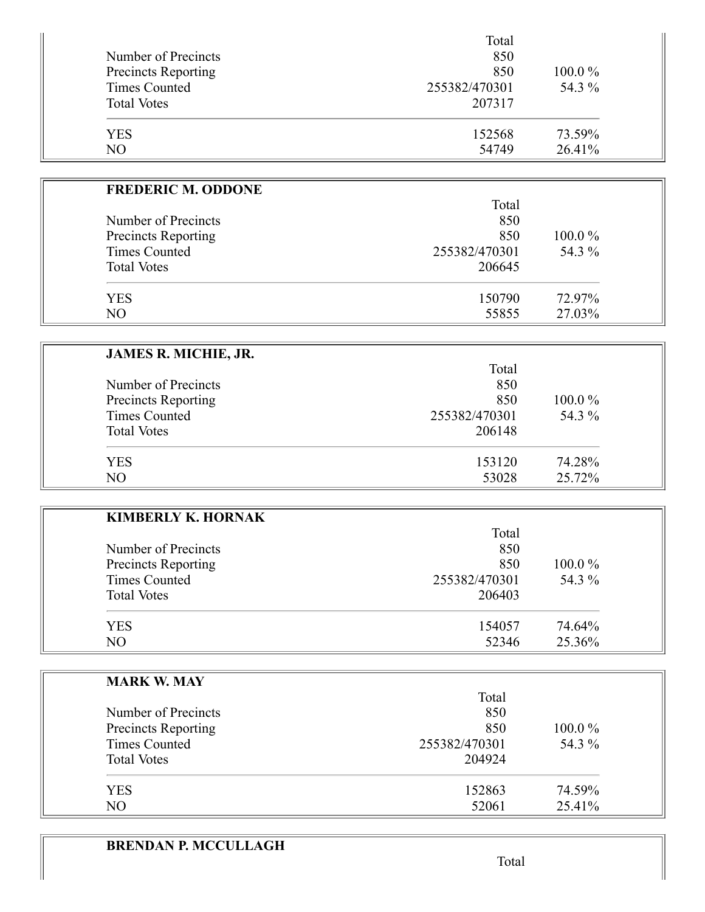|                            | Total         |           |
|----------------------------|---------------|-----------|
| Number of Precincts        | 850           |           |
| <b>Precincts Reporting</b> | 850           | $100.0\%$ |
| <b>Times Counted</b>       | 255382/470301 | 54.3 %    |
| <b>Total Votes</b>         | 207317        |           |
| <b>YES</b>                 | 152568        | 73.59%    |
| NO                         | 54749         | 26.41%    |

| <b>FREDERIC M. ODDONE</b>  |               |           |
|----------------------------|---------------|-----------|
|                            | Total         |           |
| Number of Precincts        | 850           |           |
| <b>Precincts Reporting</b> | 850           | $100.0\%$ |
| <b>Times Counted</b>       | 255382/470301 | 54.3 %    |
| <b>Total Votes</b>         | 206645        |           |
| <b>YES</b>                 | 150790        | 72.97%    |
| NO                         | 55855         | 27.03%    |

| <b>JAMES R. MICHIE, JR.</b> |               |           |
|-----------------------------|---------------|-----------|
|                             | Total         |           |
| Number of Precincts         | 850           |           |
| Precincts Reporting         | 850           | $100.0\%$ |
| <b>Times Counted</b>        | 255382/470301 | 54.3 %    |
| <b>Total Votes</b>          | 206148        |           |
| <b>YES</b>                  | 153120        | 74.28%    |
| N <sub>O</sub>              | 53028         | 25.72%    |

| <b>KIMBERLY K. HORNAK</b> |               |        |
|---------------------------|---------------|--------|
|                           | Total         |        |
| Number of Precincts       | 850           |        |
| Precincts Reporting       | 850           | 100.0% |
| <b>Times Counted</b>      | 255382/470301 | 54.3 % |
| <b>Total Votes</b>        | 206403        |        |
| <b>YES</b>                | 154057        | 74.64% |
| NO                        | 52346         | 25.36% |

| <b>MARK W. MAY</b>   |               |           |
|----------------------|---------------|-----------|
|                      | Total         |           |
| Number of Precincts  | 850           |           |
| Precincts Reporting  | 850           | $100.0\%$ |
| <b>Times Counted</b> | 255382/470301 | 54.3 %    |
| <b>Total Votes</b>   | 204924        |           |
| <b>YES</b>           | 152863        | 74.59%    |
| N <sub>O</sub>       | 52061         | 25.41%    |

# **BRENDAN P. MCCULLAGH**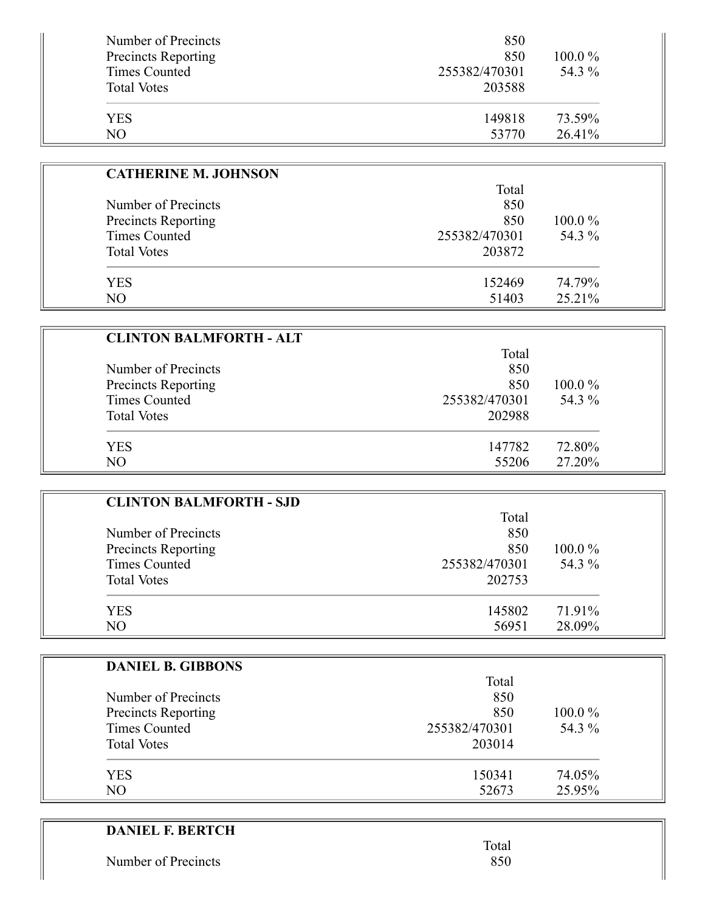| Number of Precincts<br><b>Precincts Reporting</b><br>Times Counted<br><b>Total Votes</b> | 850<br>850<br>255382/470301<br>203588 | $100.0\%$<br>54.3 % |
|------------------------------------------------------------------------------------------|---------------------------------------|---------------------|
| <b>YES</b>                                                                               | 149818                                | 73.59%              |
| NO                                                                                       | 53770                                 | $26.41\%$           |

| <b>CATHERINE M. JOHNSON</b> |               |           |
|-----------------------------|---------------|-----------|
|                             | Total         |           |
| Number of Precincts         | 850           |           |
| Precincts Reporting         | 850           | $100.0\%$ |
| Times Counted               | 255382/470301 | 54.3 %    |
| <b>Total Votes</b>          | 203872        |           |
| <b>YES</b>                  | 152469        | 74.79%    |
| NO                          | 51403         | 25.21%    |

| <b>CLINTON BALMFORTH - ALT</b> |               |           |
|--------------------------------|---------------|-----------|
|                                | Total         |           |
| Number of Precincts            | 850           |           |
| Precincts Reporting            | 850           | $100.0\%$ |
| <b>Times Counted</b>           | 255382/470301 | 54.3 %    |
| <b>Total Votes</b>             | 202988        |           |
| YES                            | 147782        | 72.80%    |
| NO                             | 55206         | 27.20%    |

| <b>CLINTON BALMFORTH - SJD</b> |               |           |
|--------------------------------|---------------|-----------|
|                                | Total         |           |
| Number of Precincts            | 850           |           |
| Precincts Reporting            | 850           | $100.0\%$ |
| <b>Times Counted</b>           | 255382/470301 | 54.3 %    |
| <b>Total Votes</b>             | 202753        |           |
| <b>YES</b>                     | 145802        | 71.91%    |
| NO                             | 56951         | 28.09%    |

| <b>DANIEL B. GIBBONS</b>   |               |        |
|----------------------------|---------------|--------|
|                            | Total         |        |
| Number of Precincts        | 850           |        |
| <b>Precincts Reporting</b> | 850           | 100.0% |
| <b>Times Counted</b>       | 255382/470301 | 54.3 % |
| <b>Total Votes</b>         | 203014        |        |
| <b>YES</b>                 | 150341        | 74.05% |
| NO.                        | 52673         | 25.95% |

| <b>DANIEL F. BERTCH</b> |       |
|-------------------------|-------|
|                         | Total |
| Number of Precincts     | 850   |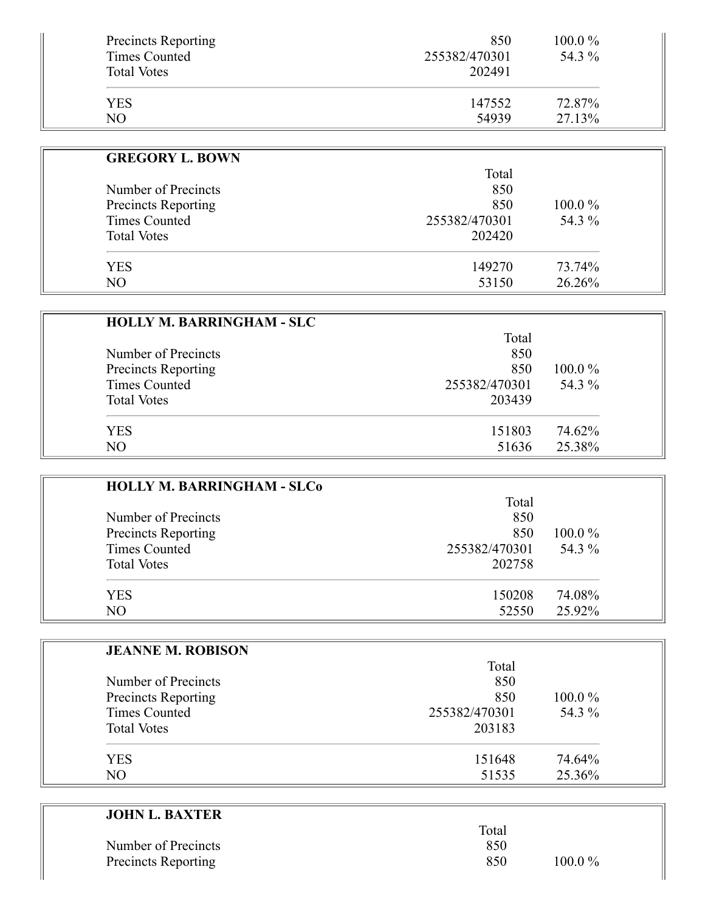| <b>Precincts Reporting</b> | 850           | 100.0% |
|----------------------------|---------------|--------|
| Times Counted              | 255382/470301 | 54.3 % |
| <b>Total Votes</b>         | 202491        |        |
| YES                        | 147552        | 72.87% |
| NΟ                         | 54939         | 27.13% |

| <b>GREGORY L. BOWN</b> |               |           |
|------------------------|---------------|-----------|
|                        | Total         |           |
| Number of Precincts    | 850           |           |
| Precincts Reporting    | 850           | $100.0\%$ |
| Times Counted          | 255382/470301 | 54.3 %    |
| <b>Total Votes</b>     | 202420        |           |
| <b>YES</b>             | 149270        | 73.74%    |
| NO.                    | 53150         | 26.26%    |

| <b>HOLLY M. BARRINGHAM - SLC</b> |               |           |
|----------------------------------|---------------|-----------|
|                                  | Total         |           |
| Number of Precincts              | 850           |           |
| <b>Precincts Reporting</b>       | 850           | $100.0\%$ |
| <b>Times Counted</b>             | 255382/470301 | 54.3 %    |
| <b>Total Votes</b>               | 203439        |           |
| <b>YES</b>                       | 151803        | 74.62%    |
| NO                               | 51636         | 25.38%    |

| <b>HOLLY M. BARRINGHAM - SLCo</b> |               |           |
|-----------------------------------|---------------|-----------|
|                                   | Total         |           |
| Number of Precincts               | 850           |           |
| Precincts Reporting               | 850           | $100.0\%$ |
| Times Counted                     | 255382/470301 | 54.3 %    |
| <b>Total Votes</b>                | 202758        |           |
| <b>YES</b>                        | 150208        | 74.08%    |
| NO.                               | 52550         | 25.92%    |

| <b>JEANNE M. ROBISON</b> |               |           |
|--------------------------|---------------|-----------|
|                          | Total         |           |
| Number of Precincts      | 850           |           |
| Precincts Reporting      | 850           | $100.0\%$ |
| <b>Times Counted</b>     | 255382/470301 | 54.3 %    |
| <b>Total Votes</b>       | 203183        |           |
| <b>YES</b>               | 151648        | 74.64%    |
| NO                       | 51535         | 25.36%    |

| <b>JOHN L. BAXTER</b>      |       |           |
|----------------------------|-------|-----------|
|                            | Total |           |
| Number of Precincts        | 850   |           |
| <b>Precincts Reporting</b> | 850   | $100.0\%$ |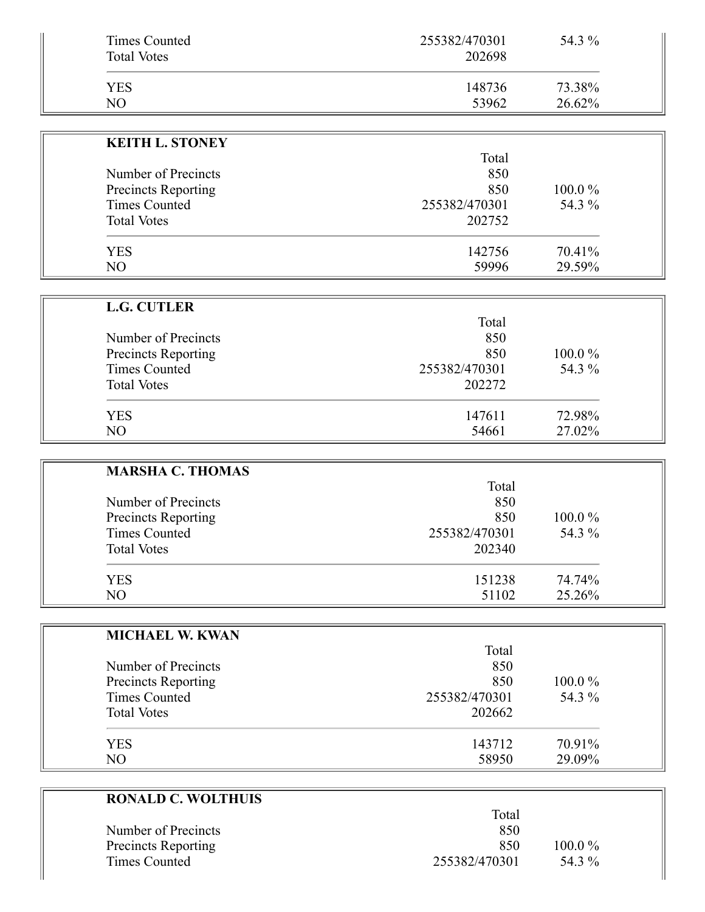| Times Counted      | 255382/470301 | 54.3 % |
|--------------------|---------------|--------|
| <b>Total Votes</b> | 202698        |        |
| YES                | 148736        | 73.38% |
| NO                 | 53962         | 26.62% |

| <b>KEITH L. STONEY</b> |               |           |
|------------------------|---------------|-----------|
|                        | Total         |           |
| Number of Precincts    | 850           |           |
| Precincts Reporting    | 850           | $100.0\%$ |
| Times Counted          | 255382/470301 | 54.3 %    |
| <b>Total Votes</b>     | 202752        |           |
| YES                    | 142756        | 70.41%    |
| NO                     | 59996         | 29.59%    |

| <b>L.G. CUTLER</b>  |               |           |
|---------------------|---------------|-----------|
|                     | Total         |           |
| Number of Precincts | 850           |           |
| Precincts Reporting | 850           | $100.0\%$ |
| Times Counted       | 255382/470301 | 54.3 %    |
| <b>Total Votes</b>  | 202272        |           |
| YES                 | 147611        | 72.98%    |
| NO                  | 54661         | 27.02%    |

| <b>MARSHA C. THOMAS</b> |               |           |
|-------------------------|---------------|-----------|
|                         | Total         |           |
| Number of Precincts     | 850           |           |
| Precincts Reporting     | 850           | $100.0\%$ |
| Times Counted           | 255382/470301 | 54.3 %    |
| <b>Total Votes</b>      | 202340        |           |
| <b>YES</b>              | 151238        | 74.74%    |
| N <sub>O</sub>          | 51102         | 25.26%    |

 $\overline{\phantom{0}}$ 

| <b>MICHAEL W. KWAN</b> |               |           |
|------------------------|---------------|-----------|
|                        | Total         |           |
| Number of Precincts    | 850           |           |
| Precincts Reporting    | 850           | $100.0\%$ |
| <b>Times Counted</b>   | 255382/470301 | 54.3 %    |
| <b>Total Votes</b>     | 202662        |           |
| <b>YES</b>             | 143712        | 70.91%    |
| NO.                    | 58950         | 29.09%    |

| <b>RONALD C. WOLTHUIS</b>  |               |           |  |
|----------------------------|---------------|-----------|--|
|                            | Total         |           |  |
| Number of Precincts        | 850           |           |  |
| <b>Precincts Reporting</b> | 850           | $100.0\%$ |  |
| Times Counted              | 255382/470301 | 54.3 %    |  |
|                            |               |           |  |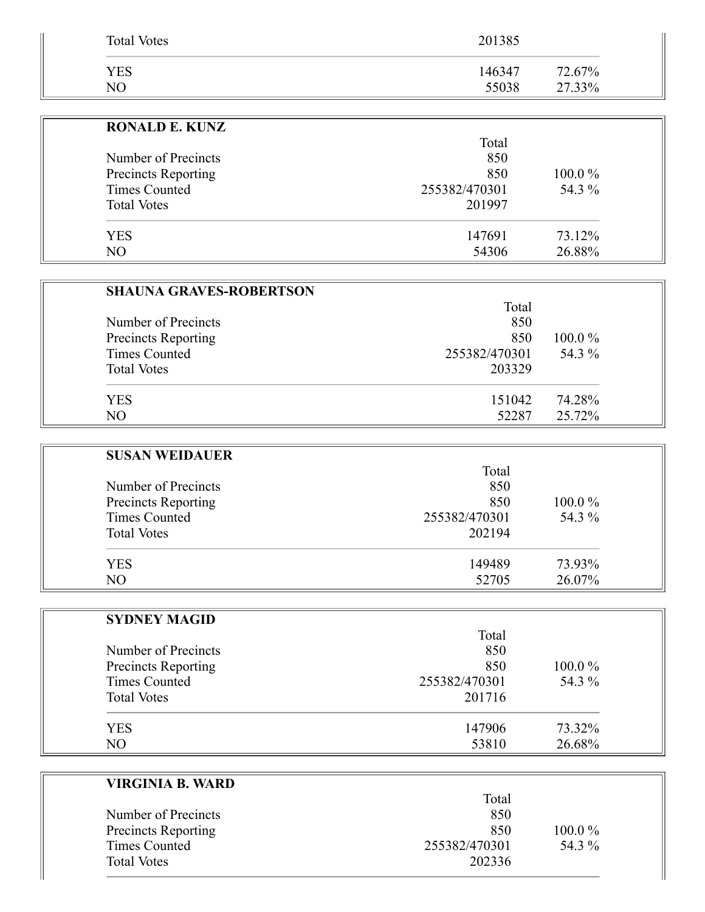| <b>Total Votes</b> | 201385 |        |
|--------------------|--------|--------|
| YES                | 146347 | 72.67% |
| NΟ                 | 55038  | 27.33% |

| <b>RONALD E. KUNZ</b> |               |           |
|-----------------------|---------------|-----------|
|                       | Total         |           |
| Number of Precincts   | 850           |           |
| Precincts Reporting   | 850           | $100.0\%$ |
| Times Counted         | 255382/470301 | 54.3 %    |
| <b>Total Votes</b>    | 201997        |           |
| <b>YES</b>            | 147691        | 73.12%    |
| N <sub>O</sub>        | 54306         | 26.88%    |

| <b>SHAUNA GRAVES-ROBERTSON</b> |               |           |
|--------------------------------|---------------|-----------|
|                                | Total         |           |
| Number of Precincts            | 850           |           |
| <b>Precincts Reporting</b>     | 850           | $100.0\%$ |
| <b>Times Counted</b>           | 255382/470301 | 54.3 %    |
| <b>Total Votes</b>             | 203329        |           |
| <b>YES</b>                     | 151042        | 74.28%    |
| NO                             | 52287         | 25.72%    |

| <b>SUSAN WEIDAUER</b> |               |           |
|-----------------------|---------------|-----------|
|                       | Total         |           |
| Number of Precincts   | 850           |           |
| Precincts Reporting   | 850           | $100.0\%$ |
| <b>Times Counted</b>  | 255382/470301 | 54.3 %    |
| <b>Total Votes</b>    | 202194        |           |
| <b>YES</b>            | 149489        | 73.93%    |
| NO                    | 52705         | 26.07%    |

| <b>SYDNEY MAGID</b> |               |        |
|---------------------|---------------|--------|
|                     | Total         |        |
| Number of Precincts | 850           |        |
| Precincts Reporting | 850           | 100.0% |
| Times Counted       | 255382/470301 | 54.3 % |
| <b>Total Votes</b>  | 201716        |        |
| <b>YES</b>          | 147906        | 73.32% |
| NO.                 | 53810         | 26.68% |

| VIRGINIA B. WARD     |               |           |
|----------------------|---------------|-----------|
|                      | Total         |           |
| Number of Precincts  | 850           |           |
| Precincts Reporting  | 850           | $100.0\%$ |
| <b>Times Counted</b> | 255382/470301 | 54.3 %    |
| <b>Total Votes</b>   | 202336        |           |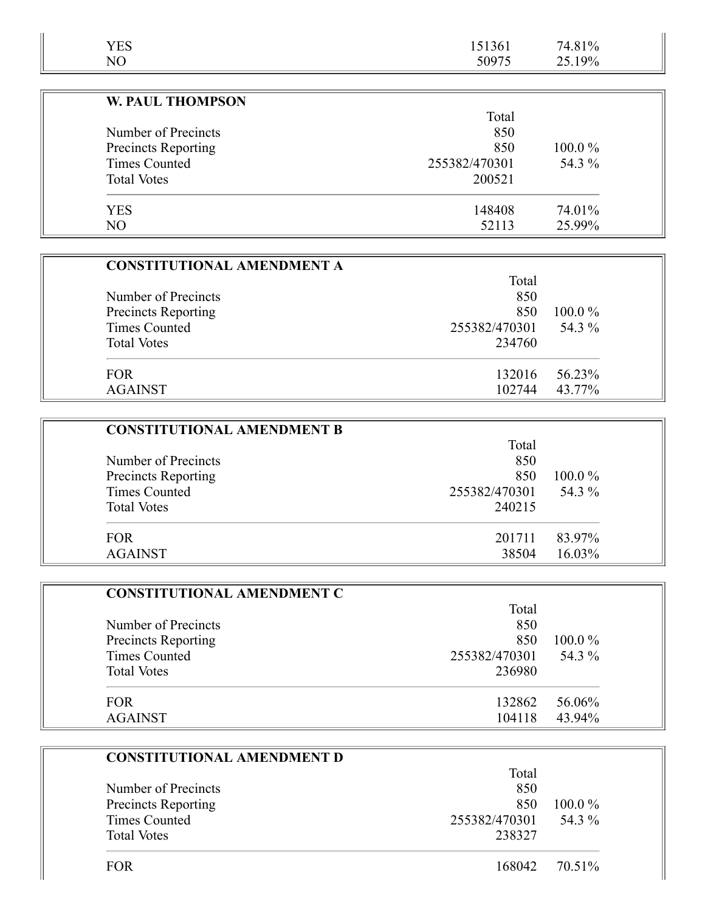| <b>YES</b>                 | 151361        | 74.81%    |
|----------------------------|---------------|-----------|
| NO                         | 50975         | 25.19%    |
|                            |               |           |
| <b>W. PAUL THOMPSON</b>    |               |           |
|                            | Total         |           |
| Number of Precincts        | 850           |           |
| <b>Precincts Reporting</b> | 850           | $100.0\%$ |
| Times Counted              | 255382/470301 | 54.3 %    |
| <b>Total Votes</b>         | 200521        |           |
| <b>YES</b>                 | 148408        | 74.01%    |
| N <sub>O</sub>             | 52113         | 25.99%    |

| <b>CONSTITUTIONAL AMENDMENT A</b> |               |           |
|-----------------------------------|---------------|-----------|
|                                   | Total         |           |
| Number of Precincts               | 850           |           |
| <b>Precincts Reporting</b>        | 850           | $100.0\%$ |
| Times Counted                     | 255382/470301 | 54.3 %    |
| <b>Total Votes</b>                | 234760        |           |
| <b>FOR</b>                        | 132016        | 56.23%    |
| <b>AGAINST</b>                    | 102744        | 43.77%    |

| <b>CONSTITUTIONAL AMENDMENT B</b> |               |           |
|-----------------------------------|---------------|-----------|
|                                   | Total         |           |
| Number of Precincts               | 850           |           |
| Precincts Reporting               | 850           | $100.0\%$ |
| Times Counted                     | 255382/470301 | 54.3 %    |
| <b>Total Votes</b>                | 240215        |           |
| <b>FOR</b>                        | 201711        | 83.97%    |
| <b>AGAINST</b>                    | 38504         | $16.03\%$ |

| <b>CONSTITUTIONAL AMENDMENT C</b> |               |           |
|-----------------------------------|---------------|-----------|
|                                   | Total         |           |
| Number of Precincts               | 850           |           |
| Precincts Reporting               | 850           | $100.0\%$ |
| <b>Times Counted</b>              | 255382/470301 | 54.3 %    |
| <b>Total Votes</b>                | 236980        |           |
| <b>FOR</b>                        | 132862        | 56.06%    |
| <b>AGAINST</b>                    | 104118        | 43.94%    |

| <b>CONSTITUTIONAL AMENDMENT D</b> |               |           |
|-----------------------------------|---------------|-----------|
|                                   | Total         |           |
| Number of Precincts               | 850           |           |
| <b>Precincts Reporting</b>        | 850           | $100.0\%$ |
| <b>Times Counted</b>              | 255382/470301 | 54.3 %    |
| <b>Total Votes</b>                | 238327        |           |
| FOR                               | 168042        | 70.51%    |